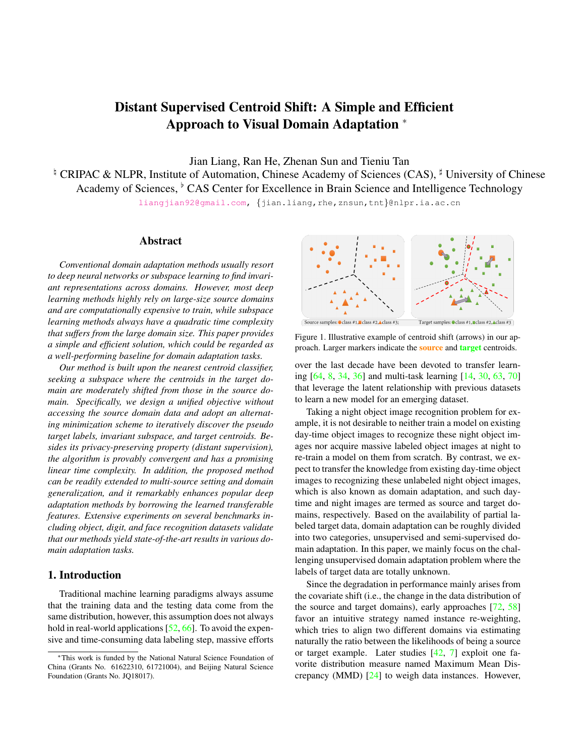# Distant Supervised Centroid Shift: A Simple and Efficient Approach to Visual Domain Adaptation <sup>∗</sup>

Jian Liang, Ran He, Zhenan Sun and Tieniu Tan

<sup> $\frac{1}{2}$ </sup> CRIPAC & NLPR, Institute of Automation, Chinese Academy of Sciences (CAS),  $\frac{1}{2}$  University of Chinese Academy of Sciences, <sup>b</sup> CAS Center for Excellence in Brain Science and Intelligence Technology

[liangjian92@gmail.com,](mailto:liangjian92@gmail.com) {jian.liang,rhe,znsun,tnt}@nlpr.ia.ac.cn

# Abstract

*Conventional domain adaptation methods usually resort to deep neural networks or subspace learning to find invariant representations across domains. However, most deep learning methods highly rely on large-size source domains and are computationally expensive to train, while subspace learning methods always have a quadratic time complexity that suffers from the large domain size. This paper provides a simple and efficient solution, which could be regarded as a well-performing baseline for domain adaptation tasks.*

*Our method is built upon the nearest centroid classifier, seeking a subspace where the centroids in the target domain are moderately shifted from those in the source domain. Specifically, we design a unified objective without accessing the source domain data and adopt an alternating minimization scheme to iteratively discover the pseudo target labels, invariant subspace, and target centroids. Besides its privacy-preserving property (distant supervision), the algorithm is provably convergent and has a promising linear time complexity. In addition, the proposed method can be readily extended to multi-source setting and domain generalization, and it remarkably enhances popular deep adaptation methods by borrowing the learned transferable features. Extensive experiments on several benchmarks including object, digit, and face recognition datasets validate that our methods yield state-of-the-art results in various domain adaptation tasks.*

## 1. Introduction

Traditional machine learning paradigms always assume that the training data and the testing data come from the same distribution, however, this assumption does not always hold in real-world applications [\[52,](#page-9-0) [66\]](#page-9-1). To avoid the expensive and time-consuming data labeling step, massive efforts



<span id="page-0-0"></span>Source samples: Class #1, Class #2, Class #3; Target samples: Class #1, Class #2, Class #3

Figure 1. Illustrative example of centroid shift (arrows) in our approach. Larger markers indicate the **source** and **target** centroids.

over the last decade have been devoted to transfer learning [\[64,](#page-9-2) [8,](#page-8-0) [34,](#page-8-1) [36\]](#page-8-2) and multi-task learning [\[14,](#page-8-3) [30,](#page-8-4) [63,](#page-9-3) [70\]](#page-9-4) that leverage the latent relationship with previous datasets to learn a new model for an emerging dataset.

Taking a night object image recognition problem for example, it is not desirable to neither train a model on existing day-time object images to recognize these night object images nor acquire massive labeled object images at night to re-train a model on them from scratch. By contrast, we expect to transfer the knowledge from existing day-time object images to recognizing these unlabeled night object images, which is also known as domain adaptation, and such daytime and night images are termed as source and target domains, respectively. Based on the availability of partial labeled target data, domain adaptation can be roughly divided into two categories, unsupervised and semi-supervised domain adaptation. In this paper, we mainly focus on the challenging unsupervised domain adaptation problem where the labels of target data are totally unknown.

Since the degradation in performance mainly arises from the covariate shift (i.e., the change in the data distribution of the source and target domains), early approaches [\[72,](#page-9-5) [58\]](#page-9-6) favor an intuitive strategy named instance re-weighting, which tries to align two different domains via estimating naturally the ratio between the likelihoods of being a source or target example. Later studies [\[42,](#page-9-7) [7\]](#page-8-5) exploit one favorite distribution measure named Maximum Mean Discrepancy (MMD) [\[24\]](#page-8-6) to weigh data instances. However,

<sup>∗</sup>This work is funded by the National Natural Science Foundation of China (Grants No. 61622310, 61721004), and Beijing Natural Science Foundation (Grants No. JQ18017).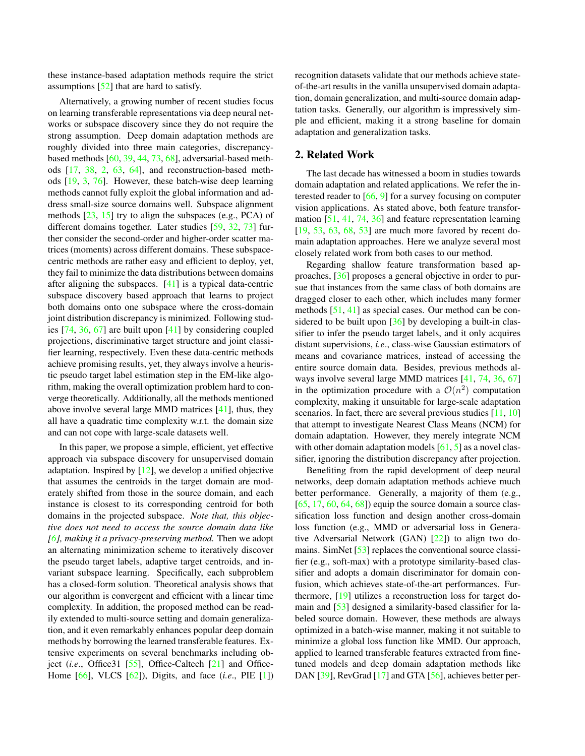these instance-based adaptation methods require the strict assumptions [\[52\]](#page-9-0) that are hard to satisfy.

Alternatively, a growing number of recent studies focus on learning transferable representations via deep neural networks or subspace discovery since they do not require the strong assumption. Deep domain adaptation methods are roughly divided into three main categories, discrepancybased methods [\[60,](#page-9-8) [39,](#page-9-9) [44,](#page-9-10) [73,](#page-9-11) [68\]](#page-9-12), adversarial-based methods [\[17,](#page-8-7) [38,](#page-9-13) [2,](#page-8-8) [63,](#page-9-3) [64\]](#page-9-2), and reconstruction-based methods [\[19,](#page-8-9) [3,](#page-8-10) [76\]](#page-9-14). However, these batch-wise deep learning methods cannot fully exploit the global information and address small-size source domains well. Subspace alignment methods  $[23, 15]$  $[23, 15]$  $[23, 15]$  try to align the subspaces (e.g., PCA) of different domains together. Later studies [\[59,](#page-9-15) [32,](#page-8-13) [73\]](#page-9-11) further consider the second-order and higher-order scatter matrices (moments) across different domains. These subspacecentric methods are rather easy and efficient to deploy, yet, they fail to minimize the data distributions between domains after aligning the subspaces. [\[41\]](#page-9-16) is a typical data-centric subspace discovery based approach that learns to project both domains onto one subspace where the cross-domain joint distribution discrepancy is minimized. Following studies [\[74,](#page-9-17) [36,](#page-8-2) [67\]](#page-9-18) are built upon [\[41\]](#page-9-16) by considering coupled projections, discriminative target structure and joint classifier learning, respectively. Even these data-centric methods achieve promising results, yet, they always involve a heuristic pseudo target label estimation step in the EM-like algorithm, making the overall optimization problem hard to converge theoretically. Additionally, all the methods mentioned above involve several large MMD matrices [\[41\]](#page-9-16), thus, they all have a quadratic time complexity w.r.t. the domain size and can not cope with large-scale datasets well.

In this paper, we propose a simple, efficient, yet effective approach via subspace discovery for unsupervised domain adaptation. Inspired by  $[12]$ , we develop a unified objective that assumes the centroids in the target domain are moderately shifted from those in the source domain, and each instance is closest to its corresponding centroid for both domains in the projected subspace. *Note that, this objective does not need to access the source domain data like [\[6\]](#page-8-15), making it a privacy-preserving method.* Then we adopt an alternating minimization scheme to iteratively discover the pseudo target labels, adaptive target centroids, and invariant subspace learning. Specifically, each subproblem has a closed-form solution. Theoretical analysis shows that our algorithm is convergent and efficient with a linear time complexity. In addition, the proposed method can be readily extended to multi-source setting and domain generalization, and it even remarkably enhances popular deep domain methods by borrowing the learned transferable features. Extensive experiments on several benchmarks including object (*i.e*., Office31 [\[55\]](#page-9-19), Office-Caltech [\[21\]](#page-8-16) and Office-Home [\[66\]](#page-9-1), VLCS [\[62\]](#page-9-20)), Digits, and face (*i.e*., PIE [\[1\]](#page-8-17)) recognition datasets validate that our methods achieve stateof-the-art results in the vanilla unsupervised domain adaptation, domain generalization, and multi-source domain adaptation tasks. Generally, our algorithm is impressively simple and efficient, making it a strong baseline for domain adaptation and generalization tasks.

### 2. Related Work

The last decade has witnessed a boom in studies towards domain adaptation and related applications. We refer the interested reader to [\[66,](#page-9-1) [9\]](#page-8-18) for a survey focusing on computer vision applications. As stated above, both feature transformation [\[51,](#page-9-21) [41,](#page-9-16) [74,](#page-9-17) [36\]](#page-8-2) and feature representation learning [\[19,](#page-8-9) [53,](#page-9-22) [63,](#page-9-3) [68,](#page-9-12) [53\]](#page-9-22) are much more favored by recent domain adaptation approaches. Here we analyze several most closely related work from both cases to our method.

Regarding shallow feature transformation based approaches, [\[36\]](#page-8-2) proposes a general objective in order to pursue that instances from the same class of both domains are dragged closer to each other, which includes many former methods [\[51,](#page-9-21) [41\]](#page-9-16) as special cases. Our method can be considered to be built upon  $\lceil 36 \rceil$  by developing a built-in classifier to infer the pseudo target labels, and it only acquires distant supervisions, *i.e*., class-wise Gaussian estimators of means and covariance matrices, instead of accessing the entire source domain data. Besides, previous methods always involve several large MMD matrices [\[41,](#page-9-16) [74,](#page-9-17) [36,](#page-8-2) [67\]](#page-9-18) in the optimization procedure with a  $\mathcal{O}(n^2)$  computation complexity, making it unsuitable for large-scale adaptation scenarios. In fact, there are several previous studies [\[11,](#page-8-19) [10\]](#page-8-20) that attempt to investigate Nearest Class Means (NCM) for domain adaptation. However, they merely integrate NCM with other domain adaptation models  $[61, 5]$  $[61, 5]$  $[61, 5]$  as a novel classifier, ignoring the distribution discrepancy after projection.

Benefiting from the rapid development of deep neural networks, deep domain adaptation methods achieve much better performance. Generally, a majority of them (e.g.,  $[65, 17, 60, 64, 68]$  $[65, 17, 60, 64, 68]$  $[65, 17, 60, 64, 68]$  $[65, 17, 60, 64, 68]$  $[65, 17, 60, 64, 68]$  $[65, 17, 60, 64, 68]$  $[65, 17, 60, 64, 68]$  $[65, 17, 60, 64, 68]$  $[65, 17, 60, 64, 68]$  equip the source domain a source classification loss function and design another cross-domain loss function (e.g., MMD or adversarial loss in Generative Adversarial Network (GAN) [\[22\]](#page-8-22)) to align two domains. SimNet [\[53\]](#page-9-22) replaces the conventional source classifier (e.g., soft-max) with a prototype similarity-based classifier and adopts a domain discriminator for domain confusion, which achieves state-of-the-art performances. Furthermore, [\[19\]](#page-8-9) utilizes a reconstruction loss for target domain and [\[53\]](#page-9-22) designed a similarity-based classifier for labeled source domain. However, these methods are always optimized in a batch-wise manner, making it not suitable to minimize a global loss function like MMD. Our approach, applied to learned transferable features extracted from finetuned models and deep domain adaptation methods like DAN [\[39\]](#page-9-9), RevGrad [\[17\]](#page-8-7) and GTA [\[56\]](#page-9-25), achieves better per-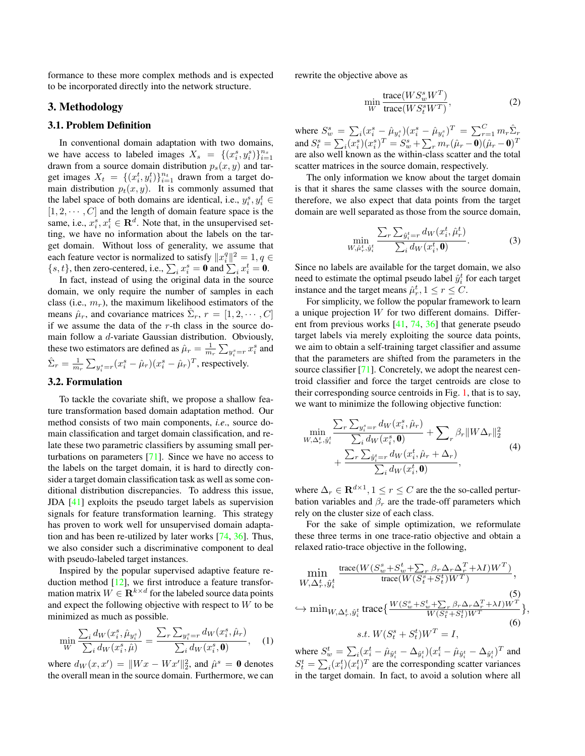formance to these more complex methods and is expected to be incorporated directly into the network structure.

# 3. Methodology

### 3.1. Problem Definition

In conventional domain adaptation with two domains, we have access to labeled images  $X_s = \{(x_i^s, y_i^s)\}_{i=1}^{n_s}$ drawn from a source domain distribution  $p_s(x, y)$  and target images  $X_t = \{(x_i^t, y_i^t)\}_{i=1}^{n_t}$  drawn from a target domain distribution  $p_t(x, y)$ . It is commonly assumed that the label space of both domains are identical, i.e.,  $y_i^s, y_i^t \in$  $[1, 2, \cdots, C]$  and the length of domain feature space is the same, i.e.,  $x_i^s, x_i^t \in \mathbf{R}^d$ . Note that, in the unsupervised setting, we have no information about the labels on the target domain. Without loss of generality, we assume that each feature vector is normalized to satisfy  $||x_i^q||^2 = 1, q \in$  $\{s, t\}$ , then zero-centered, i.e.,  $\sum_i x_i^s = \mathbf{0}$  and  $\sum_i x_i^t = \mathbf{0}$ .

In fact, instead of using the original data in the source domain, we only require the number of samples in each class (i.e.,  $m_r$ ), the maximum likelihood estimators of the means  $\hat{\mu}_r$ , and covariance matrices  $\hat{\Sigma}_r$ ,  $r = [1, 2, \cdots, C]$ if we assume the data of the  $r$ -th class in the source domain follow a d-variate Gaussian distribution. Obviously, these two estimators are defined as  $\hat{\mu}_r = \frac{1}{m_r} \sum_{y_i^s = r} x_i^s$  and  $\hat{\Sigma}_r = \frac{1}{m_r}\sum_{y_i^s = r} (x_i^s - \hat{\mu}_r)(x_i^s - \hat{\mu}_r)^T$ , respectively.

# 3.2. Formulation

To tackle the covariate shift, we propose a shallow feature transformation based domain adaptation method. Our method consists of two main components, *i.e*., source domain classification and target domain classification, and relate these two parametric classifiers by assuming small perturbations on parameters [\[71\]](#page-9-26). Since we have no access to the labels on the target domain, it is hard to directly consider a target domain classification task as well as some conditional distribution discrepancies. To address this issue, JDA [\[41\]](#page-9-16) exploits the pseudo target labels as supervision signals for feature transformation learning. This strategy has proven to work well for unsupervised domain adaptation and has been re-utilized by later works [\[74,](#page-9-17) [36\]](#page-8-2). Thus, we also consider such a discriminative component to deal with pseudo-labeled target instances.

Inspired by the popular supervised adaptive feature reduction method  $[12]$ , we first introduce a feature transformation matrix  $W \in \mathbf{R}^{k \times d}$  for the labeled source data points and expect the following objective with respect to W to be minimized as much as possible.

$$
\min_{W} \frac{\sum_{i} d_{W}(x_{i}^{s}, \hat{\mu}_{y_{i}^{s}})}{\sum_{i} d_{W}(x_{i}^{s}, \hat{\mu})} = \frac{\sum_{r} \sum_{y_{i}^{s}=r} d_{W}(x_{i}^{s}, \hat{\mu}_{r})}{\sum_{i} d_{W}(x_{i}^{s}, \mathbf{0})}, \quad (1)
$$

where  $d_W(x, x') = ||Wx - Wx'||_2^2$ , and  $\hat{\mu}^s = \mathbf{0}$  denotes the overall mean in the source domain. Furthermore, we can rewrite the objective above as

$$
\min_{W} \frac{\text{trace}(WS_w^s W^T)}{\text{trace}(WS_t^s W^T)},\tag{2}
$$

where  $S_w^s = \sum_i (x_i^s - \hat{\mu}_{y_i^s})(x_i^s - \hat{\mu}_{y_i^s})^T = \sum_{r=1}^{C} m_r \hat{\Sigma}_r$ and  $S^s_t = \sum_i (x^s_i) (x^s_i)^T = S^s_w + \sum_r m_r (\hat{\mu}_r - \mathbf{0}) (\hat{\mu}_r - \mathbf{0})^T$ are also well known as the within-class scatter and the total scatter matrices in the source domain, respectively.

The only information we know about the target domain is that it shares the same classes with the source domain, therefore, we also expect that data points from the target domain are well separated as those from the source domain,

$$
\min_{W, \hat{\mu}_r^t, \hat{y}_i^t} \frac{\sum_{r} \sum_{\hat{y}_i^t = r} d_W(x_i^t, \hat{\mu}_r^t)}{\sum_{i} d_W(x_i^t, \mathbf{0})}.
$$
 (3)

Since no labels are available for the target domain, we also need to estimate the optimal pseudo label  $\hat{y}_i^t$  for each target instance and the target means  $\hat{\mu}_r^t$ ,  $1 \le r \le C$ .

For simplicity, we follow the popular framework to learn a unique projection  $W$  for two different domains. Different from previous works [\[41,](#page-9-16) [74,](#page-9-17) [36\]](#page-8-2) that generate pseudo target labels via merely exploiting the source data points, we aim to obtain a self-training target classifier and assume that the parameters are shifted from the parameters in the source classifier [\[71\]](#page-9-26). Concretely, we adopt the nearest centroid classifier and force the target centroids are close to their corresponding source centroids in Fig. [1,](#page-0-0) that is to say, we want to minimize the following objective function:

$$
\begin{split} \min_{W,\Delta_r^t,\hat{y}_i^t} \frac{\sum_r \sum_{y_i^s=r} d_W(x_i^s,\hat{\mu}_r)}{\sum_i d_W(x_i^s,\mathbf{0})} + \sum_r \beta_r \|W\Delta_r\|_2^2 \\ &+ \frac{\sum_r \sum_{\hat{y}_i^t=r} d_W(x_i^t,\hat{\mu}_r+\Delta_r)}{\sum_i d_W(x_i^t,\mathbf{0})}, \end{split} \tag{4}
$$

where  $\Delta_r \in \mathbf{R}^{d \times 1}$ ,  $1 \le r \le C$  are the the so-called perturbation variables and  $\beta_r$  are the trade-off parameters which rely on the cluster size of each class.

For the sake of simple optimization, we reformulate these three terms in one trace-ratio objective and obtain a relaxed ratio-trace objective in the following,

<span id="page-2-1"></span><span id="page-2-0"></span>
$$
\min_{W,\Delta_r^t, \hat{y}_i^t} \frac{\text{trace}(W(S_w^s + S_w^t + \sum_r \beta_r \Delta_r \Delta_r^T + \lambda I)W^T)}{\text{trace}(W(S_i^s + S_i^t)W^T)},
$$
\n
$$
\leftrightarrow \min_{W,\Delta_r^t, \hat{y}_i^t} \text{trace}\left\{\frac{W(S_w^s + S_w^t + \sum_r \beta_r \Delta_r \Delta_r^T + \lambda I)W^T}{W(S_i^s + S_i^t)W^T}\right\},
$$
\n
$$
s.t. W(S_i^s + S_i^t)W^T = I,
$$
\n(6)

<span id="page-2-2"></span>where  $S_w^t = \sum_i (x_i^t - \hat{\mu}_{\hat{y}_i^t} - \Delta_{\hat{y}_i^t})(x_i^t - \hat{\mu}_{\hat{y}_i^t} - \Delta_{\hat{y}_i^t})^T$  and  $S_t^t = \sum_i (x_i^t)(x_i^t)^T$  are the corresponding scatter variances in the target domain. In fact, to avoid a solution where all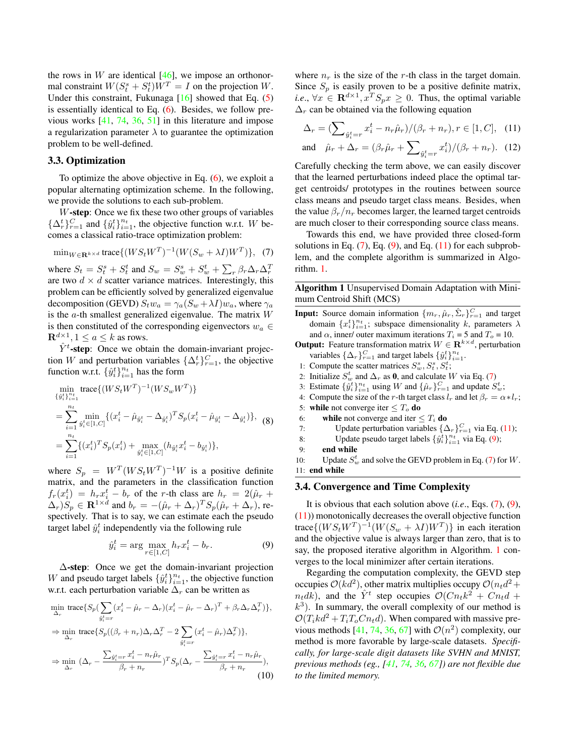the rows in  $W$  are identical [\[46\]](#page-9-27), we impose an orthonormal constraint  $W(S_t^s + S_t^t)W^T = I$  on the projection W. Under this constraint, Fukunaga [\[16\]](#page-8-23) showed that Eq. [\(5\)](#page-2-0) is essentially identical to Eq. [\(6\)](#page-2-1). Besides, we follow previous works [\[41,](#page-9-16) [74,](#page-9-17) [36,](#page-8-2) [51\]](#page-9-21) in this literature and impose a regularization parameter  $\lambda$  to guarantee the optimization problem to be well-defined.

#### 3.3. Optimization

To optimize the above objective in Eq.  $(6)$ , we exploit a popular alternating optimization scheme. In the following, we provide the solutions to each sub-problem.

W-step: Once we fix these two other groups of variables  $\{\Delta_r^t\}_{r=1}^C$  and  $\{\hat{y}_i^t\}_{i=1}^{n_t}$ , the objective function w.r.t. W becomes a classical ratio-trace optimization problem:

$$
\min_{W \in \mathbf{R}^{k \times d}} \text{trace}\{(WS_t W^T)^{-1}(W(S_w + \lambda I)W^T)\}, \tag{7}
$$

where  $S_t = S_t^s + S_t^t$  and  $S_w = S_w^s + S_w^t + \sum_r \beta_r \Delta_r \Delta_r^T$ are two  $d \times d$  scatter variance matrices. Interestingly, this problem can be efficiently solved by generalized eigenvalue decomposition (GEVD)  $S_t w_a = \gamma_a (S_w + \lambda I) w_a$ , where  $\gamma_a$ is the  $a$ -th smallest generalized eigenvalue. The matrix  $W$ is then constituted of the corresponding eigenvectors  $w_a \in$  $\mathbf{R}^{d\times 1}, 1\leq a\leq k$  as rows.

 $\hat{Y}^{t}$ -step: Once we obtain the domain-invariant projection W and perturbation variables  $\{\Delta_r^t\}_{r=1}^C$ , the objective function w.r.t.  $\{\hat{y}_i^t\}_{i=1}^{n_t}$  has the form

$$
\min_{\{\hat{y}_i^t\}_{i=1}^{n_t}} \text{trace}\{(WS_t W^T)^{-1} (WS_w W^T)\}\
$$
\n
$$
= \sum_{i=1}^{n_t} \min_{\hat{y}_i^t \in [1, C]} \{(x_i^t - \hat{\mu}_{\hat{y}_i^t} - \Delta_{\hat{y}_i^t})^T S_p (x_i^t - \hat{\mu}_{\hat{y}_i^t} - \Delta_{\hat{y}_i^t})\}, \text{ (8)}
$$
\n
$$
= \sum_{i=1}^{n_t} \{(x_i^t)^T S_p (x_i^t) + \max_{\hat{y}_i^t \in [1, C]} (h_{\hat{y}_i^t} x_i^t - b_{\hat{y}_i^t})\},
$$

where  $S_p = W^T (W S_t W^T)^{-1} W$  is a positive definite matrix, and the parameters in the classification function  $f_r(x_i^t) = h_rx_i^t - b_r$  of the r-th class are  $h_r = 2(\hat{\mu}_r +$  $(\Delta_r)S_p \in \mathbf{R}^{1 \times d}$  and  $b_r = -(\hat{\mu}_r + \Delta_r)^T S_p(\hat{\mu}_r + \Delta_r)$ , respectively. That is to say, we can estimate each the pseudo target label  $\hat{y}_i^t$  independently via the following rule

<span id="page-3-0"></span>
$$
\hat{y}_i^t = \arg \max_{r \in [1, C]} h_r x_i^t - b_r.
$$
 (9)

∆-step: Once we get the domain-invariant projection W and pseudo target labels  $\{\hat{y}_i^t\}_{i=1}^{n_t}$ , the objective function w.r.t. each perturbation variable  $\Delta_r$  can be written as

$$
\min_{\Delta_r} \text{trace}\left\{S_p\left(\sum_{\hat{y}_i^t=r} (x_i^t - \hat{\mu}_r - \Delta_r)(x_i^t - \hat{\mu}_r - \Delta_r)^T + \beta_r \Delta_r \Delta_r^T\right)\right\},
$$
\n
$$
\Rightarrow \min_{\Delta_r} \text{trace}\left\{S_p\left((\beta_r + n_r)\Delta_r \Delta_r^T - 2\sum_{\hat{y}_i^t=r} (x_i^t - \hat{\mu}_r)\Delta_r^T\right)\right\},
$$
\n
$$
\Rightarrow \min_{\Delta_r} (\Delta_r - \frac{\sum_{\hat{y}_i^t=r} x_i^t - n_r \hat{\mu}_r}{\beta_r + n_r})^T S_p(\Delta_r - \frac{\sum_{\hat{y}_i^t=r} x_i^t - n_r \hat{\mu}_r}{\beta_r + n_r}),
$$
\n(10)

where  $n_r$  is the size of the r-th class in the target domain. Since  $S_p$  is easily proven to be a positive definite matrix, *i.e.*,  $\forall x \in \mathbf{R}^{d \times 1}$ ,  $x^T S_p x \ge 0$ . Thus, the optimal variable  $\Delta_r$  can be obtained via the following equation

<span id="page-3-1"></span>
$$
\Delta_r = (\sum_{\hat{y}_i^t = r} x_i^t - n_r \hat{\mu}_r) / (\beta_r + n_r), r \in [1, C], \quad (11)
$$

and 
$$
\hat{\mu}_r + \Delta_r = (\beta_r \hat{\mu}_r + \sum_{\hat{y}_i^t = r} x_i^t) / (\beta_r + n_r).
$$
 (12)

Carefully checking the term above, we can easily discover that the learned perturbations indeed place the optimal target centroids/ prototypes in the routines between source class means and pseudo target class means. Besides, when the value  $\beta_r/n_r$  becomes larger, the learned target centroids are much closer to their corresponding source class means.

Towards this end, we have provided three closed-form solutions in Eq.  $(7)$ , Eq.  $(9)$ , and Eq.  $(11)$  for each subproblem, and the complete algorithm is summarized in Algorithm. [1.](#page-3-2)

<span id="page-3-2"></span>Algorithm 1 Unsupervised Domain Adaptation with Minimum Centroid Shift (MCS)

- **Input:** Source domain information  $\{m_r, \hat{\mu}_r, \hat{\Sigma}_r\}_{r=1}^C$  and target domain  $\{x_i^t\}_{i=1}^{n_t}$ ; subspace dimensionality k, parameters  $\lambda$ and  $\alpha$ , inner/ outer maximum iterations  $T_i = 5$  and  $T_o = 10$ .
- **Output:** Feature transformation matrix  $W \in \mathbb{R}^{k \times d}$ , perturbation variables  $\{\Delta_r\}_{r=1}^C$  and target labels  $\{\hat{y}_i^t\}_{i=1}^{n_t}$ .
- 1: Compute the scatter matrices  $S_w^s, S_t^s, S_t^t$ ;
- 2: Initialize  $S_w^t$  and  $\Delta_r$  as 0, and calculate W via Eq. [\(7\)](#page-2-2)
- 3: Estimate  $\{\hat{y}_i^t\}_{i=1}^{n_t}$  using W and  $\{\hat{\mu}_r\}_{r=1}^C$  and update  $S_w^t$ ;
- 4: Compute the size of the r-th target class  $l_r$  and let  $\beta_r = \alpha * l_r$ ;
- 5: while not converge iter  $\leq T_o$  do
- 6: while not converge and iter  $\leq T_i$  do
- 7: Update perturbation variables  $\{\Delta_r\}_{r=1}^C$  via Eq. [\(11\)](#page-3-1);
- 8: Update pseudo target labels  $\{\hat{y}_i^t\}_{i=1}^{n_t}$  via Eq. [\(9\)](#page-3-0);
- 9: end while
- 10: Update  $S_w^t$  and solve the GEVD problem in Eq. [\(7\)](#page-2-2) for W. 11: end while

### 3.4. Convergence and Time Complexity

It is obvious that each solution above (*i.e*., Eqs. [\(7\)](#page-2-2), [\(9\)](#page-3-0), [\(11\)](#page-3-1)) monotonically decreases the overall objective function trace $\{(WS_tW^T)^{-1}(W(S_w + \lambda I)W^T)\}\$ in each iteration and the objective value is always larger than zero, that is to say, the proposed iterative algorithm in Algorithm. [1](#page-3-2) converges to the local minimizer after certain iterations.

Regarding the computation complexity, the GEVD step occupies  $\mathcal{O}(kd^2)$ , other matrix multiplies occupy  $\mathcal{O}(n_t d^2 +$  $n_t dk$ ), and the  $\hat{Y}^t$  step occupies  $\mathcal{O}(Cn_t k^2 + Cn_t d +$  $(k<sup>3</sup>)$ . In summary, the overall complexity of our method is  $\mathcal{O}(T_kkd^2 + T_iT_oCn_t d)$ . When compared with massive pre-vious methods [\[41,](#page-9-16) [74,](#page-9-17) [36,](#page-8-2) [67\]](#page-9-18) with  $\mathcal{O}(n^2)$  complexity, our method is more favorable by large-scale datasets. *Specifically, for large-scale digit datasets like SVHN and MNIST, previous methods (eg., [\[41,](#page-9-16) [74,](#page-9-17) [36,](#page-8-2) [67\]](#page-9-18)) are not flexible due to the limited memory.*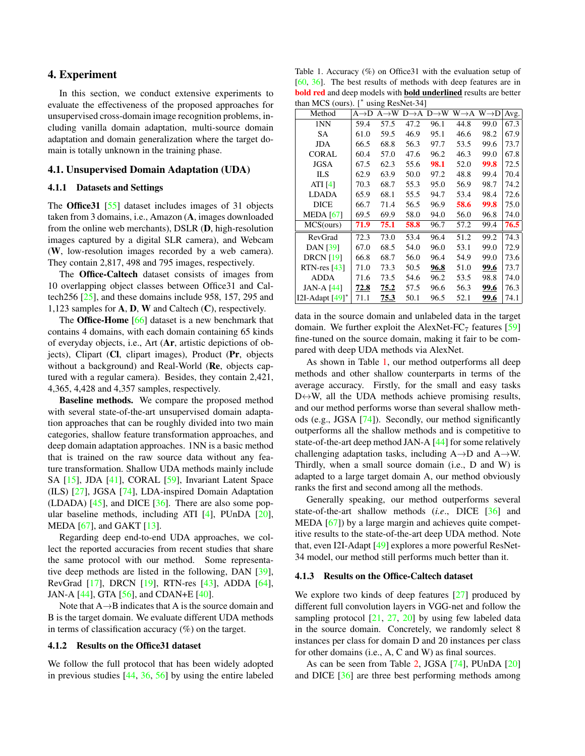### 4. Experiment

In this section, we conduct extensive experiments to evaluate the effectiveness of the proposed approaches for unsupervised cross-domain image recognition problems, including vanilla domain adaptation, multi-source domain adaptation and domain generalization where the target domain is totally unknown in the training phase.

#### 4.1. Unsupervised Domain Adaptation (UDA)

#### 4.1.1 Datasets and Settings

The Office31 [\[55\]](#page-9-19) dataset includes images of 31 objects taken from 3 domains, i.e., Amazon (A, images downloaded from the online web merchants), DSLR (D, high-resolution images captured by a digital SLR camera), and Webcam (W, low-resolution images recorded by a web camera). They contain 2,817, 498 and 795 images, respectively.

The Office-Caltech dataset consists of images from 10 overlapping object classes between Office31 and Caltech256 [\[25\]](#page-8-24), and these domains include 958, 157, 295 and 1,123 samples for A, D, W and Caltech (C), respectively.

The **Office-Home** [\[66\]](#page-9-1) dataset is a new benchmark that contains 4 domains, with each domain containing 65 kinds of everyday objects, i.e., Art (Ar, artistic depictions of objects), Clipart (Cl, clipart images), Product (Pr, objects without a background) and Real-World (Re, objects captured with a regular camera). Besides, they contain 2,421, 4,365, 4,428 and 4,357 samples, respectively.

Baseline methods. We compare the proposed method with several state-of-the-art unsupervised domain adaptation approaches that can be roughly divided into two main categories, shallow feature transformation approaches, and deep domain adaptation approaches. 1NN is a basic method that is trained on the raw source data without any feature transformation. Shallow UDA methods mainly include SA [\[15\]](#page-8-12), JDA [\[41\]](#page-9-16), CORAL [\[59\]](#page-9-15), Invariant Latent Space (ILS) [\[27\]](#page-8-25), JGSA [\[74\]](#page-9-17), LDA-inspired Domain Adaptation (LDADA) [\[45\]](#page-9-28), and DICE [\[36\]](#page-8-2). There are also some popular baseline methods, including ATI [\[4\]](#page-8-26), PUnDA [\[20\]](#page-8-27), MEDA [\[67\]](#page-9-18), and GAKT [\[13\]](#page-8-28).

Regarding deep end-to-end UDA approaches, we collect the reported accuracies from recent studies that share the same protocol with our method. Some representative deep methods are listed in the following, DAN [\[39\]](#page-9-9), RevGrad [\[17\]](#page-8-7), DRCN [\[19\]](#page-8-9), RTN-res [\[43\]](#page-9-29), ADDA [\[64\]](#page-9-2), JAN-A [\[44\]](#page-9-10), GTA [\[56\]](#page-9-25), and CDAN+E [\[40\]](#page-9-30).

Note that  $A \rightarrow B$  indicates that A is the source domain and B is the target domain. We evaluate different UDA methods in terms of classification accuracy (%) on the target.

#### 4.1.2 Results on the Office31 dataset

We follow the full protocol that has been widely adopted in previous studies [\[44,](#page-9-10) [36,](#page-8-2) [56\]](#page-9-25) by using the entire labeled

<span id="page-4-0"></span>Table 1. Accuracy (%) on Office31 with the evaluation setup of [\[60,](#page-9-8) [36\]](#page-8-2). The best results of methods with deep features are in bold red and deep models with bold underlined results are better than MCS (ours). [<sup>∗</sup> using ResNet-34]

| $m$ u $m$          |      | $\frac{1}{2}$                     |      |                                   |                   |                   |      |
|--------------------|------|-----------------------------------|------|-----------------------------------|-------------------|-------------------|------|
| Method             |      | $A \rightarrow D A \rightarrow W$ |      | $D\rightarrow A$ $D\rightarrow W$ | $W \rightarrow A$ | $W \rightarrow D$ | Avg. |
| 1NN                | 59.4 | 57.5                              | 47.2 | 96.1                              | 44.8              | 99.0              | 67.3 |
| SА                 | 61.0 | 59.5                              | 46.9 | 95.1                              | 46.6              | 98.2              | 67.9 |
| JDA                | 66.5 | 68.8                              | 56.3 | 97.7                              | 53.5              | 99.6              | 73.7 |
| <b>CORAL</b>       | 60.4 | 57.0                              | 47.6 | 96.2                              | 46.3              | 99.0              | 67.8 |
| JGSA               | 67.5 | 62.3                              | 55.6 | 98.1                              | 52.0              | 99.8              | 72.5 |
| ILS                | 62.9 | 63.9                              | 50.0 | 97.2                              | 48.8              | 99.4              | 70.4 |
| ATI $[4]$          | 70.3 | 68.7                              | 55.3 | 95.0                              | 56.9              | 98.7              | 74.2 |
| <b>LDADA</b>       | 65.9 | 68.1                              | 55.5 | 94.7                              | 53.4              | 98.4              | 72.6 |
| DICE               | 66.7 | 71.4                              | 56.5 | 96.9                              | 58.6              | 99.8              | 75.0 |
| <b>MEDA</b> [67]   | 69.5 | 69.9                              | 58.0 | 94.0                              | 56.0              | 96.8              | 74.0 |
| MCS(ours)          | 71.9 | 75.1                              | 58.8 | 96.7                              | 57.2              | 99.4              | 76.5 |
| RevGrad            | 72.3 | 73.0                              | 53.4 | 96.4                              | 51.2              | 99.2              | 74.3 |
| <b>DAN</b> [39]    | 67.0 | 68.5                              | 54.0 | 96.0                              | 53.1              | 99.0              | 72.9 |
| <b>DRCN</b> [19]   | 66.8 | 68.7                              | 56.0 | 96.4                              | 54.9              | 99.0              | 73.6 |
| $RTN$ -res [43]    | 71.0 | 73.3                              | 50.5 | 96.8                              | 51.0              | 99.6              | 73.7 |
| <b>ADDA</b>        | 71.6 | 73.5                              | 54.6 | 96.2                              | 53.5              | 98.8              | 74.0 |
| JAN-A [44]         | 72.8 | 75.2                              | 57.5 | 96.6                              | 56.3              | 99.6              | 76.3 |
| I2I-Adapt $[49]^*$ | 71.1 | 75.3                              | 50.1 | 96.5                              | 52.1              | 99.6              | 74.1 |

data in the source domain and unlabeled data in the target domain. We further exploit the AlexNet- $FC<sub>7</sub>$  features [\[59\]](#page-9-15) fine-tuned on the source domain, making it fair to be compared with deep UDA methods via AlexNet.

As shown in Table [1,](#page-4-0) our method outperforms all deep methods and other shallow counterparts in terms of the average accuracy. Firstly, for the small and easy tasks  $D \leftrightarrow W$ , all the UDA methods achieve promising results, and our method performs worse than several shallow methods (e.g., JGSA [\[74\]](#page-9-17)). Secondly, our method significantly outperforms all the shallow methods and is competitive to state-of-the-art deep method JAN-A [\[44\]](#page-9-10) for some relatively challenging adaptation tasks, including  $A \rightarrow D$  and  $A \rightarrow W$ . Thirdly, when a small source domain (i.e., D and W) is adapted to a large target domain A, our method obviously ranks the first and second among all the methods.

Generally speaking, our method outperforms several state-of-the-art shallow methods (*i.e*., DICE [\[36\]](#page-8-2) and MEDA [\[67\]](#page-9-18)) by a large margin and achieves quite competitive results to the state-of-the-art deep UDA method. Note that, even I2I-Adapt [\[49\]](#page-9-31) explores a more powerful ResNet-34 model, our method still performs much better than it.

#### 4.1.3 Results on the Office-Caltech dataset

We explore two kinds of deep features [\[27\]](#page-8-25) produced by different full convolution layers in VGG-net and follow the sampling protocol  $[21, 27, 20]$  $[21, 27, 20]$  $[21, 27, 20]$  $[21, 27, 20]$  $[21, 27, 20]$  by using few labeled data in the source domain. Concretely, we randomly select 8 instances per class for domain D and 20 instances per class for other domains (i.e., A, C and W) as final sources.

As can be seen from Table [2,](#page-5-0) JGSA [\[74\]](#page-9-17), PUnDA [\[20\]](#page-8-27) and DICE [\[36\]](#page-8-2) are three best performing methods among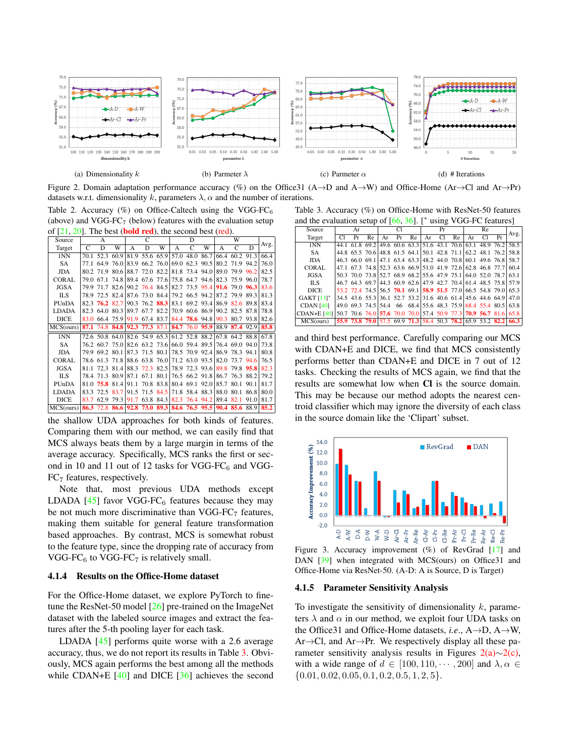<span id="page-5-2"></span>

<span id="page-5-4"></span>Figure 2. Domain adaptation performance accuracy (%) on the Office31 (A→D and A→W) and Office-Home (Ar→Cl and Ar→Pr) datasets w.r.t. dimensionality k, parameters  $\lambda$ ,  $\alpha$  and the number of iterations.

<span id="page-5-0"></span>Table 2. Accuracy  $(\%)$  on Office-Caltech using the VGG-FC<sub>6</sub> (above) and  $VGG-FC<sub>7</sub>$  (below) features with the evaluation setup of  $[21, 20]$  $[21, 20]$  $[21, 20]$ . The best (**bold red**), the second best (red).

| Source       |      | A              |                                                             |      | C                             |           |   | D |                |                                              | W              |           |      |
|--------------|------|----------------|-------------------------------------------------------------|------|-------------------------------|-----------|---|---|----------------|----------------------------------------------|----------------|-----------|------|
| Target       | C    | D              | W                                                           | А    | D                             | W         | A | C | W              | A                                            | C              | D         | Avg. |
| 1NN          | 70.1 | 52.3           | 60.9                                                        | 81.9 | 55.6 65.9 57.0 48.0           |           |   |   | 86.7           | 66.4                                         |                | 60.2 91.3 | 66.4 |
| SA           | 77 1 | 64.9           | 76.0                                                        | 83.9 | 66.2 76.0                     |           |   |   | 69.0 62.3 90.5 |                                              | 80.2 71.9 94.2 |           | 76.0 |
| JDA          |      | 80.2 71.9      | 80.6                                                        |      | 88.7 72.0 82.2                |           |   |   | 81.8 73.4 94.0 |                                              | 89.0 79.9 96.2 |           | 82.5 |
| <b>CORAL</b> | 79.0 | 67.1           | 74.8                                                        |      |                               |           |   |   |                | 89.4 67.6 77.6 75.8 64.7 94.6 82.3 75.9 96.0 |                |           | 78.7 |
| <b>JGSA</b>  | 79.9 | 71.7           | 82.6                                                        |      | 90.2 76.4 84.5                |           |   |   | 82.7 73.5 95.4 |                                              | 91.6 79.0 96.3 |           | 83.6 |
| <b>ILS</b>   |      |                | 78.9 72.5 82.4 87.6 73.0 84.4 79.2 66.5 94.2                |      |                               |           |   |   |                |                                              | 87.2 79.9 89.3 |           | 81.3 |
| PUnDA        |      | 82.3 76.2 82.7 |                                                             |      | 90.3 76.2 88.3 83.1 69.2 93.4 |           |   |   |                |                                              | 86.9 82.6 89.8 |           | 83.4 |
| <b>LDADA</b> |      |                | 82.3 64.0 80.3                                              |      | 89.7 67.7 82.2                |           |   |   |                | 70.9 60.6 86.9 90.2 82.5 87.8                |                |           | 78.8 |
| <b>DICE</b>  |      |                | 83.0 66.4 75.9 91.9 67.4 83.7 84.4 78.6 94.8 90.3 80.7 93.8 |      |                               |           |   |   |                |                                              |                |           | 82.6 |
| MCS(ours)    |      |                | 87.1 74.8 84.8 92.3 77.3 87.1 84.7 76.0 95.9                |      |                               |           |   |   |                |                                              | 88.9 87.4 92.9 |           | 85.8 |
| 1NN          |      |                | 72.6 50.8 64.0 82.6 54.9 65.3 61.2 52.8 88.2 67.8 64.2 88.8 |      |                               |           |   |   |                |                                              |                |           | 67.8 |
| SA           |      | 76.2 60.7 75.0 |                                                             |      | 82.6 63.2 73.6                |           |   |   | 66.0 59.4 89.5 |                                              | 76.4 69.0 94.0 |           | 73.8 |
| <b>JDA</b>   | 79.9 | 69.2 80.1      |                                                             |      | 87.3 71.5 80.1 78.5 70.9 92.4 |           |   |   |                |                                              | 86.9 78.3 94.1 |           | 80.8 |
| <b>CORAL</b> |      |                | 78.6 61.3 71.8                                              |      | 88.6 63.8 76.0 71.2 63.0 93.5 |           |   |   |                | 82.0                                         | 73.7 94.6      |           | 76.5 |
| <b>JGSA</b>  | 811  | 72.3 81.4      |                                                             |      | 88.3 72.3 82.5 78.9 72.3 93.6 |           |   |   |                |                                              | 89.8 79.8 95.8 |           | 82.3 |
| <b>ILS</b>   |      |                | 78.4 71.3 80.9                                              | 87.1 | 67.1                          |           |   |   |                | 80.1 76.5 66.2 91.8 86.7 76.3 88.2           |                |           | 79.2 |
| PUnDA        | 81.0 |                | 75.8 81.4                                                   | 91.1 |                               | 70.8 83.8 |   |   | 80.4 69.1 92.0 | 85.7                                         | 80.1           | 90.1      | 81.7 |
| <b>LDADA</b> |      | 83.3 72.5      | 83.7                                                        | 91.5 | 71.5 84.5                     |           |   |   | 71.8 58.4 88.3 | 88.0                                         | 80.1           | 86.8      | 80.0 |
| <b>DICE</b>  |      |                | 83.7 62.9 79.3 91.7 63.8 84.3 82.3 76.4 94.2                |      |                               |           |   |   |                | 89.4                                         | 82.1           | 91.0      | 81.7 |
| MCS(ours)    |      |                | 86.3 72.8 86.6 92.8 73.0 89.3 84.6 76.5 95.5 90.4 85.6 88.9 |      |                               |           |   |   |                |                                              |                |           | 85.2 |

the shallow UDA approaches for both kinds of features. Comparing them with our method, we can easily find that MCS always beats them by a large margin in terms of the average accuracy. Specifically, MCS ranks the first or second in 10 and 11 out of 12 tasks for VGG-FC $<sub>6</sub>$  and VGG-</sub>  $FC<sub>7</sub>$  features, respectively.

Note that, most previous UDA methods except LDADA [\[45\]](#page-9-28) favor VGG-FC $_6$  features because they may be not much more discriminative than  $VGG-FC<sub>7</sub>$  features, making them suitable for general feature transformation based approaches. By contrast, MCS is somewhat robust to the feature type, since the dropping rate of accuracy from VGG-FC $_6$  to VGG-FC $_7$  is relatively small.

### 4.1.4 Results on the Office-Home dataset

For the Office-Home dataset, we explore PyTorch to finetune the ResNet-50 model [\[26\]](#page-8-29) pre-trained on the ImageNet dataset with the labeled source images and extract the features after the 5-th pooling layer for each task.

LDADA [\[45\]](#page-9-28) performs quite worse with a 2.6 average accuracy, thus, we do not report its results in Table [3.](#page-5-1) Obviously, MCS again performs the best among all the methods while CDAN+E [\[40\]](#page-9-30) and DICE [\[36\]](#page-8-2) achieves the second

<span id="page-5-5"></span><span id="page-5-3"></span><span id="page-5-1"></span>Table 3. Accuracy (%) on Office-Home with ResNet-50 features

|                    | and the evaluation setup of $[66, 36]$ . [* using VGG-FC features] |    |    |    |    |    |    |        |    |    |                                                                  |    |                                                                  |  |  |
|--------------------|--------------------------------------------------------------------|----|----|----|----|----|----|--------|----|----|------------------------------------------------------------------|----|------------------------------------------------------------------|--|--|
| Source             |                                                                    | Ar |    |    | C1 |    |    | Pr     |    |    | Re                                                               |    | Avg.                                                             |  |  |
| Target             | CI                                                                 | Pr | Re | Ar | Pr | Re | Ar | $\cap$ | Re | Ar | $\cap$                                                           | Pr |                                                                  |  |  |
| 1NN                |                                                                    |    |    |    |    |    |    |        |    |    |                                                                  |    | 44.1 61.8 69.2 49.6 60.6 63.3 51.6 43.1 70.6 63.1 48.9 76.2 58.5 |  |  |
| <b>SA</b>          |                                                                    |    |    |    |    |    |    |        |    |    |                                                                  |    | 44.8 65.5 70.6 48.8 61.5 64.1 50.1 42.8 71.1 62.2 48.1 76.2 58.8 |  |  |
| <b>JDA</b>         |                                                                    |    |    |    |    |    |    |        |    |    |                                                                  |    | 46.3 66.0 69.1 47.1 63.4 63.3 48.2 44.0 70.8 60.1 49.6 76.8 58.7 |  |  |
| <b>CORAL</b>       |                                                                    |    |    |    |    |    |    |        |    |    |                                                                  |    | 47.1 67.3 74.8 52.3 63.6 66.9 51.0 41.9 72.6 62.8 46.8 77.7 60.4 |  |  |
| JGSA               |                                                                    |    |    |    |    |    |    |        |    |    | 50.3 70.0 73.8 52.7 68.9 68.2 55.6 47.9 75.1 64.0 52.0 78.7      |    | 63.1                                                             |  |  |
| ПS.                |                                                                    |    |    |    |    |    |    |        |    |    |                                                                  |    | 46.7 64.3 69.7 44.3 60.9 62.6 47.9 42.7 70.4 61.4 48.5 75.8 57.9 |  |  |
| <b>DICE</b>        |                                                                    |    |    |    |    |    |    |        |    |    |                                                                  |    | 53.2 72.4 74.5 56.5 70.1 69.1 58.9 51.5 77.0 66.5 54.8 79.0 65.3 |  |  |
| <b>GAKT</b> [13]*  |                                                                    |    |    |    |    |    |    |        |    |    | 34.5 43.6 55.3 36.1 52.7 53.2 31.6 40.6 61.4 45.6 44.6 64.9      |    | 47.0                                                             |  |  |
| <b>CDAN</b> [40]   |                                                                    |    |    |    |    |    |    |        |    |    | 49.0 69.3 74.5 54.4 66 68.4 55.6 48.3 75.9 68.4 55.4 80.5        |    | 63.8                                                             |  |  |
| <b>CDAN+E [40]</b> |                                                                    |    |    |    |    |    |    |        |    |    | 50.7 70.6 76.0 57.6 70.0 70.0 57.4 50.9 77.3 70.9 56.7 81.6 65.8 |    |                                                                  |  |  |
| MCS(ours)          |                                                                    |    |    |    |    |    |    |        |    |    | 55.9 73.8 79.0 57.5 69.9 71.3 58.4 50.3 78.2 65.9 53.2 82.2 66.3 |    |                                                                  |  |  |

and third best performance. Carefully comparing our MCS with CDAN+E and DICE, we find that MCS consistently performs better than CDAN+E and DICE in 7 out of 12 tasks. Checking the results of MCS again, we find that the results are somewhat low when Cl is the source domain. This may be because our method adopts the nearest centroid classifier which may ignore the diversity of each class in the source domain like the 'Clipart' subset.



<span id="page-5-6"></span>Figure 3. Accuracy improvement (%) of RevGrad [\[17\]](#page-8-7) and DAN [\[39\]](#page-9-9) when integrated with MCS(ours) on Office31 and Office-Home via ResNet-50. (A-D: A is Source, D is Target)

#### 4.1.5 Parameter Sensitivity Analysis

To investigate the sensitivity of dimensionality  $k$ , parameters  $\lambda$  and  $\alpha$  in our method, we exploit four UDA tasks on the Office31 and Office-Home datasets, *i.e*., A→D, A→W, Ar→Cl, and Ar→Pr. We respectively display all these parameter sensitivity analysis results in Figures [2\(a\)](#page-5-2)∼[2\(c\),](#page-5-3) with a wide range of  $d \in [100, 110, \dots, 200]$  and  $\lambda, \alpha \in$  $\{0.01, 0.02, 0.05, 0.1, 0.2, 0.5, 1, 2, 5\}.$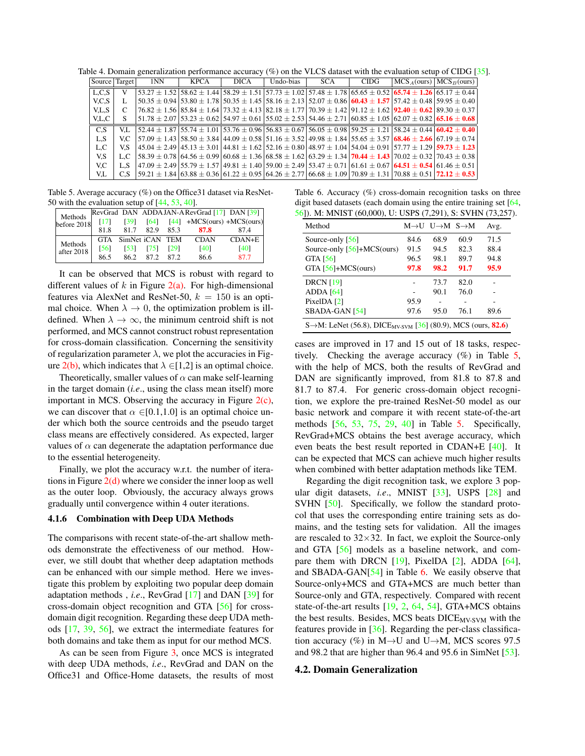Table 4. Domain generalization performance accuracy (%) on the VLCS dataset with the evaluation setup of CIDG [\[35\]](#page-8-30).

<span id="page-6-2"></span>

| Source Target |      | 1NN | KPCA | <b>DICA</b> | Undo-bias | <b>SCA</b> | <b>CIDG</b> | $MCSA(ours)$ $MCSB(ours)$                                                                                                                       |                                                                                                                                                       |
|---------------|------|-----|------|-------------|-----------|------------|-------------|-------------------------------------------------------------------------------------------------------------------------------------------------|-------------------------------------------------------------------------------------------------------------------------------------------------------|
| L.C.S         |      |     |      |             |           |            |             | $53.27 \pm 1.52$ $58.62 \pm 1.44$ $58.29 \pm 1.51$ $57.73 \pm 1.02$ $57.48 \pm 1.78$ $65.65 \pm 0.52$ $65.74 \pm 1.26$ $65.17 \pm 0.44$         |                                                                                                                                                       |
| V.C.S         |      |     |      |             |           |            |             |                                                                                                                                                 | $50.35 \pm 0.94$ (53.80 $\pm$ 1.78 (50.35 $\pm$ 1.45 (58.16 $\pm$ 2.13 (52.07 $\pm$ 0.86 (60.43 $\pm$ 1.57 (57.42 $\pm$ 0.48 (59.95 $\pm$ 0.40)       |
| V.L.S         |      |     |      |             |           |            |             | $76.82 \pm 1.56$ $85.84 \pm 1.64$ $73.32 \pm 4.13$ $82.18 \pm 1.77$ $70.39 \pm 1.42$ $91.12 \pm 1.62$ $92.40 \pm 0.62$ $89.30 \pm 0.37$         |                                                                                                                                                       |
| V.L.C         |      |     |      |             |           |            |             |                                                                                                                                                 | $51.78 \pm 2.07$ $53.23 \pm 0.62$ $54.97 \pm 0.61$ $55.02 \pm 2.53$ $54.46 \pm 2.71$ $60.85 \pm 1.05$ $62.07 \pm 0.82$ $65.16 \pm 0.68$               |
| C.S           | V.L. |     |      |             |           |            |             |                                                                                                                                                 | $52.44 \pm 1.87$ (55.74 $\pm$ 1.01 (53.76 $\pm$ 0.96 (56.83 $\pm$ 0.67 (56.05 $\pm$ 0.98 (59.25 $\pm$ 1.21 (58.24 $\pm$ 0.44 (60.42 $\pm$ 0.40)       |
| L.S           | V.C. |     |      |             |           |            |             | $157.09 \pm 1.43$ $158.50 \pm 3.84$ $144.09 \pm 0.58$ $151.16 \pm 3.52$ $149.98 \pm 1.84$ $155.65 \pm 3.57$ $68.46 \pm 2.66$ $67.19 \pm 0.74$   |                                                                                                                                                       |
| L.C           | V.S  |     |      |             |           |            |             | $145.04 \pm 2.49$ $145.13 \pm 3.01$ $144.81 \pm 1.62$ $152.16 \pm 0.80$ $148.97 \pm 1.04$ $154.04 \pm 0.91$ $157.77 \pm 1.29$ $159.73 \pm 1.23$ |                                                                                                                                                       |
| V.S           | L.C  |     |      |             |           |            |             |                                                                                                                                                 | $58.39 \pm 0.78$ 64.56 $\pm$ 0.99 60.68 $\pm$ 1.36 68.58 $\pm$ 1.62 63.29 $\pm$ 1.34 <b>70.44</b> $\pm$ <b>1.43</b> 70.02 $\pm$ 0.32 70.43 $\pm$ 0.38 |
| V.C           | L.S  |     |      |             |           |            |             | $47.09 \pm 2.49$ 55.79 $\pm$ 1.57 49.81 $\pm$ 1.40 59.00 $\pm$ 2.49 53.47 $\pm$ 0.71 61.61 $\pm$ 0.67 64.51 $\pm$ 0.54 61.46 $\pm$ 0.51         |                                                                                                                                                       |
| V.L           | C.S  |     |      |             |           |            |             |                                                                                                                                                 | $59.21 \pm 1.84$ 63.88 $\pm$ 0.36 61.22 $\pm$ 0.95 64.26 $\pm$ 2.77 66.68 $\pm$ 1.09 70.89 $\pm$ 1.31 70.88 $\pm$ 0.51 72.12 $\pm$ 0.53               |

<span id="page-6-0"></span>Table 5. Average accuracy (%) on the Office31 dataset via ResNet-50 with the evaluation setup of [\[44,](#page-9-10) [53,](#page-9-22) [40\]](#page-9-30).

| Methods<br>before $2018$ |      |                     |      |               | RevGrad DAN ADDAJAN-A RevGrad [17] DAN [39] |            |
|--------------------------|------|---------------------|------|---------------|---------------------------------------------|------------|
|                          | [17] | [39]                |      |               | $[64]$ $[44]$ +MCS(ours) +MCS(ours)         |            |
|                          | 81.8 | 81.7                | 82.9 | 85.3          | 87.8                                        | 874        |
| Methods<br>after 2018    |      | GTA SimNet iCAN TEM |      |               | <b>CDAN</b>                                 | $CDAN + E$ |
|                          | [56] | [53]                |      | $[75]$ $[29]$ | <b>[40]</b>                                 | [40]       |
|                          | 86.5 | 86.2                | 872  | 872           | 86.6                                        | 87.7       |

It can be observed that MCS is robust with regard to different values of  $k$  in Figure [2\(a\).](#page-5-2) For high-dimensional features via AlexNet and ResNet-50,  $k = 150$  is an optimal choice. When  $\lambda \to 0$ , the optimization problem is illdefined. When  $\lambda \to \infty$ , the minimum centroid shift is not performed, and MCS cannot construct robust representation for cross-domain classification. Concerning the sensitivity of regularization parameter  $\lambda$ , we plot the accuracies in Fig-ure [2\(b\),](#page-5-4) which indicates that  $\lambda \in [1,2]$  is an optimal choice.

Theoretically, smaller values of  $\alpha$  can make self-learning in the target domain (*i.e*., using the class mean itself) more important in MCS. Observing the accuracy in Figure  $2(c)$ , we can discover that  $\alpha \in [0.1,1.0]$  is an optimal choice under which both the source centroids and the pseudo target class means are effectively considered. As expected, larger values of  $\alpha$  can degenerate the adaptation performance due to the essential heterogeneity.

Finally, we plot the accuracy w.r.t. the number of iterations in Figure  $2(d)$  where we consider the inner loop as well as the outer loop. Obviously, the accuracy always grows gradually until convergence within 4 outer iterations.

#### 4.1.6 Combination with Deep UDA Methods

The comparisons with recent state-of-the-art shallow methods demonstrate the effectiveness of our method. However, we still doubt that whether deep adaptation methods can be enhanced with our simple method. Here we investigate this problem by exploiting two popular deep domain adaptation methods , *i.e*., RevGrad [\[17\]](#page-8-7) and DAN [\[39\]](#page-9-9) for cross-domain object recognition and GTA [\[56\]](#page-9-25) for crossdomain digit recognition. Regarding these deep UDA methods [\[17,](#page-8-7) [39,](#page-9-9) [56\]](#page-9-25), we extract the intermediate features for both domains and take them as input for our method MCS.

As can be seen from Figure [3,](#page-5-6) once MCS is integrated with deep UDA methods, *i.e*., RevGrad and DAN on the Office31 and Office-Home datasets, the results of most

<span id="page-6-1"></span>Table 6. Accuracy (%) cross-domain recognition tasks on three digit based datasets (each domain using the entire training set [\[64,](#page-9-2) [56\]](#page-9-25)). M: MNIST (60,000), U: USPS (7,291), S: SVHN (73,257).

| Method                                                                                        |      | $M \rightarrow U$ $U \rightarrow M$ $S \rightarrow M$ |      | Avg. |
|-----------------------------------------------------------------------------------------------|------|-------------------------------------------------------|------|------|
| Source-only $[56]$                                                                            | 84.6 | 68.9                                                  | 60.9 | 71.5 |
| Source-only $[56]+MCS$ (ours)                                                                 | 91.5 | 94.5                                                  | 82.3 | 88.4 |
| GTA [56]                                                                                      | 96.5 | 98.1                                                  | 89.7 | 94.8 |
| GTA $[56]+MCS$ (ours)                                                                         | 97.8 | 98.2                                                  | 91.7 | 95.9 |
| <b>DRCN</b> [19]                                                                              |      | 73.7                                                  | 82.0 |      |
| ADDA $[64]$                                                                                   |      | 90.1                                                  | 76.0 |      |
| PixelDA [2]                                                                                   | 95.9 |                                                       |      |      |
| SBADA-GAN [54]                                                                                | 97.6 | 95.0                                                  | 76.1 | 89.6 |
| S $\rightarrow$ M: LeNet (56.8), DICE <sub>MV-SVM</sub> [36] (80.9), MCS (ours, <b>82.6</b> ) |      |                                                       |      |      |

cases are improved in 17 and 15 out of 18 tasks, respectively. Checking the average accuracy  $(\%)$  in Table [5,](#page-6-0) with the help of MCS, both the results of RevGrad and DAN are significantly improved, from 81.8 to 87.8 and 81.7 to 87.4. For generic cross-domain object recognition, we explore the pre-trained ResNet-50 model as our basic network and compare it with recent state-of-the-art methods [\[56,](#page-9-25) [53,](#page-9-22) [75,](#page-9-32) [29,](#page-8-31) [40\]](#page-9-30) in Table [5.](#page-6-0) Specifically, RevGrad+MCS obtains the best average accuracy, which even beats the best result reported in CDAN+E [\[40\]](#page-9-30). It can be expected that MCS can achieve much higher results when combined with better adaptation methods like TEM.

Regarding the digit recognition task, we explore 3 popular digit datasets, *i.e*., MNIST [\[33\]](#page-8-32), USPS [\[28\]](#page-8-33) and SVHN [\[50\]](#page-9-34). Specifically, we follow the standard protocol that uses the corresponding entire training sets as domains, and the testing sets for validation. All the images are rescaled to  $32\times32$ . In fact, we exploit the Source-only and GTA [\[56\]](#page-9-25) models as a baseline network, and compare them with DRCN  $[19]$ , PixelDA  $[2]$ , ADDA  $[64]$ , and SBADA-GAN[\[54\]](#page-9-33) in Table [6.](#page-6-1) We easily observe that Source-only+MCS and GTA+MCS are much better than Source-only and GTA, respectively. Compared with recent state-of-the-art results [\[19,](#page-8-9) [2,](#page-8-8) [64,](#page-9-2) [54\]](#page-9-33), GTA+MCS obtains the best results. Besides, MCS beats DICE<sub>MV-SVM</sub> with the features provide in [\[36\]](#page-8-2). Regarding the per-class classification accuracy (%) in M $\rightarrow$ U and U $\rightarrow$ M, MCS scores 97.5 and 98.2 that are higher than 96.4 and 95.6 in SimNet [\[53\]](#page-9-22).

#### 4.2. Domain Generalization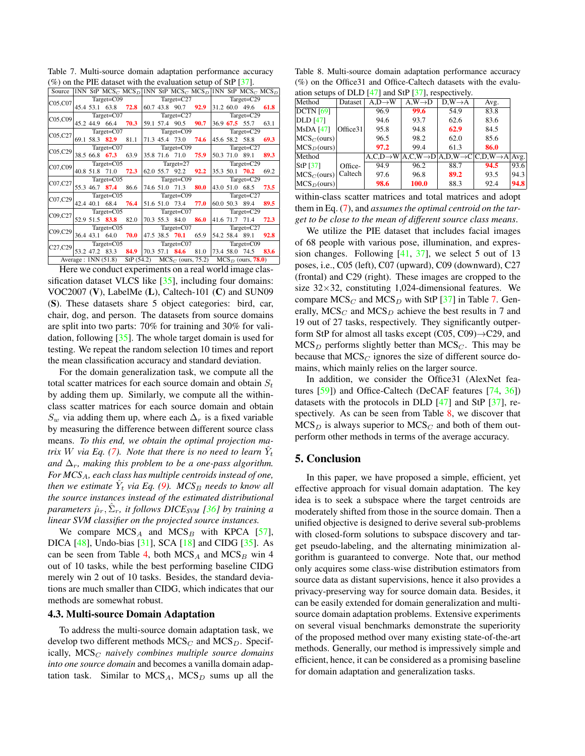| Source 1NN StP MCS <sub>C</sub> MCS <sub>D</sub> 1NN StP MCS <sub>C</sub> MCS <sub>D</sub> 1NN StP MCS <sub>C</sub> MCS <sub>D</sub> |                |  |                                    |           |                |                        |                                                             |                                                   |               |               |                     |      |  |
|--------------------------------------------------------------------------------------------------------------------------------------|----------------|--|------------------------------------|-----------|----------------|------------------------|-------------------------------------------------------------|---------------------------------------------------|---------------|---------------|---------------------|------|--|
| $CO5$ , $CO7$                                                                                                                        |                |  | $Target=CO9$                       |           |                |                        |                                                             | $Target=C27$                                      |               |               | Target=C29          |      |  |
|                                                                                                                                      |                |  | 45.4 53.1 63.8 72.8                |           |                |                        | 60.7 43.8 90.7 92.9                                         |                                                   |               |               | 31.2 60.0 49.6      | 61.8 |  |
|                                                                                                                                      | $Target=CO7$   |  |                                    |           |                | $T \text{arget} = C27$ |                                                             |                                                   |               | Target=C29    |                     |      |  |
| C05,C09                                                                                                                              |                |  | 45.2 44.9 66.4 70.3                |           |                |                        | $\begin{bmatrix} 59.1 & 57.4 & 90.5 & 90.7 \end{bmatrix}$   |                                                   |               |               | 36.9 67.5 55.7      | 63.1 |  |
|                                                                                                                                      |                |  | $Target=CO7$                       |           |                |                        | $Target = CO9$                                              |                                                   |               |               | Target=C29          |      |  |
| C05,C27                                                                                                                              |                |  | 69.1 58.3 <b>82.9</b>              | 81.1      |                |                        | $ 71.3 \t45.4 \t73.0 \t74.6$                                |                                                   |               |               | 45.6 58.2 58.8      | 69.3 |  |
| C05,C29                                                                                                                              |                |  | $Target=CO7$                       |           |                |                        | $\Gamma$ Target=C09                                         |                                                   |               |               | Target= $C27$       |      |  |
|                                                                                                                                      |                |  | 38.5 66.8 67.3                     | 63.9      |                |                        | 35.8 71.6 71.0                                              | 75.9                                              |               |               | 50.3 71.0 89.1      | 89.3 |  |
| C07,C09                                                                                                                              |                |  | $Target=CO5$                       |           |                |                        | $Target=27$                                                 |                                                   |               |               | Target=C29          |      |  |
|                                                                                                                                      |                |  | 40.8 51.8 71.0 72.3                |           |                |                        | $\begin{array}{cccc} 62.0 & 55.7 & 92.2 & 92.2 \end{array}$ |                                                   |               |               | 35.3 50.1 70.2      | 69.2 |  |
|                                                                                                                                      | $Target = CO5$ |  |                                    |           |                |                        | $T \text{arget} = \text{C09}$                               |                                                   |               |               | Target=C29          |      |  |
| C07,C27                                                                                                                              |                |  | 55.3 46.7 87.4 86.6                |           |                |                        | $ 74.6\,51.0\,71.3$                                         | 80.0                                              |               |               | 43.0 51.0 68.5      | 73.5 |  |
| C07,C29                                                                                                                              |                |  | $Target=CO5$                       |           | $Target = CO9$ |                        |                                                             |                                                   |               | Target= $C27$ |                     |      |  |
|                                                                                                                                      |                |  | 42.4 40.1 68.4                     | 76.4      |                |                        | $\begin{bmatrix} 51.6 & 51.0 & 73.4 \end{bmatrix}$          | 77.0                                              |               |               | 60.0 50.3 89.4      | 89.5 |  |
|                                                                                                                                      |                |  | $T \text{arget} = C05$             |           |                |                        | $\Gamma$ Target=C07                                         |                                                   |               |               | Target=C29          |      |  |
| C09,C27                                                                                                                              |                |  | 52.9 51.5 83.8                     | 82.0      |                |                        | 70.3 55.3 84.0                                              | 86.0                                              |               |               | 41.6 71.7 71.4      | 72.3 |  |
| C09,C29                                                                                                                              |                |  | $Target=CO5$                       |           |                |                        | $Target = CO7$                                              |                                                   | Target= $C27$ |               |                     |      |  |
|                                                                                                                                      |                |  | 36.4 43.1 64.0                     | 70.0      |                |                        | $ 47.5 \t38.5 \t70.1 \t65.9$                                |                                                   |               |               | 54.2 58.4 89.1      | 92.8 |  |
| C27,C29                                                                                                                              |                |  | $Target=CO5$                       |           |                | $Target=CO7$           |                                                             |                                                   | Target=C09    |               |                     |      |  |
|                                                                                                                                      |                |  | 53.2 47.2 83.3 84.9 70.3 57.1 84.6 |           |                |                        |                                                             |                                                   |               |               | 81.0 73.4 58.0 74.5 | 83.6 |  |
|                                                                                                                                      |                |  | Average : $1NN(51.8)$              | StP(54.2) |                |                        |                                                             | $MCS_C$ (ours, 75.2) $MCS_D$ (ours, <b>78.0</b> ) |               |               |                     |      |  |

<span id="page-7-0"></span>Table 7. Multi-source domain adaptation performance accuracy  $(\%)$  on the PIE dataset with the evaluation setup of StP [\[37\]](#page-8-34).

Here we conduct experiments on a real world image classification dataset VLCS like [\[35\]](#page-8-30), including four domains: VOC2007 (V), LabelMe (L), Caltech-101 (C) and SUN09 (S). These datasets share 5 object categories: bird, car, chair, dog, and person. The datasets from source domains are split into two parts: 70% for training and 30% for validation, following [\[35\]](#page-8-30). The whole target domain is used for testing. We repeat the random selection 10 times and report the mean classification accuracy and standard deviation.

For the domain generalization task, we compute all the total scatter matrices for each source domain and obtain  $S_t$ by adding them up. Similarly, we compute all the withinclass scatter matrices for each source domain and obtain  $S_w$  via adding them up, where each  $\Delta_r$  is a fixed variable by measuring the difference between different source class means. *To this end, we obtain the optimal projection matrix* W via Eq. [\(7\)](#page-2-2). Note that there is no need to learn  $\hat{Y}_t$ *and*  $\Delta_r$ *, making this problem to be a one-pass algorithm. For MCS*A*, each class has multiple centroids instead of one, then we estimate*  $\hat{Y}_t$  *via Eq.* [\(9\)](#page-3-0)*.* MCS<sub>B</sub> *needs to know all the source instances instead of the estimated distributional parameters* µˆr, Σˆ <sup>r</sup>*, it follows DICESVM [\[36\]](#page-8-2) by training a linear SVM classifier on the projected source instances.*

We compare  $MCS_A$  and  $MCS_B$  with KPCA [\[57\]](#page-9-35), DICA [\[48\]](#page-9-36), Undo-bias [\[31\]](#page-8-35), SCA [\[18\]](#page-8-36) and CIDG [\[35\]](#page-8-30). As can be seen from Table [4,](#page-6-2) both  $MCS_A$  and  $MCS_B$  win 4 out of 10 tasks, while the best performing baseline CIDG merely win 2 out of 10 tasks. Besides, the standard deviations are much smaller than CIDG, which indicates that our methods are somewhat robust.

#### 4.3. Multi-source Domain Adaptation

To address the multi-source domain adaptation task, we develop two different methods  $MCS_C$  and  $MCS_D$ . Specifically, MCS<sub>C</sub> naively combines multiple source domains *into one source domain* and becomes a vanilla domain adaptation task. Similar to  $MCS_A$ ,  $MCS_D$  sums up all the

<span id="page-7-1"></span>Table 8. Multi-source domain adaptation performance accuracy (%) on the Office31 and Office-Caltech datasets with the evaluation setups of DLD [\[47\]](#page-9-37) and StP [\[37\]](#page-8-34), respectively.

|                       | $\frac{1}{2}$ of $\frac{1}{2}$ of $\frac{1}{2}$ of $\frac{1}{2}$ and $\frac{1}{2}$ of $\frac{1}{2}$ subsets for $\frac{1}{2}$ . |                    |                                                                                                     |                    |      |      |  |  |  |  |  |  |  |  |
|-----------------------|---------------------------------------------------------------------------------------------------------------------------------|--------------------|-----------------------------------------------------------------------------------------------------|--------------------|------|------|--|--|--|--|--|--|--|--|
| Method                | Dataset                                                                                                                         | $A.D\rightarrow W$ | $A.W \rightarrow D$                                                                                 | $D,W\rightarrow A$ | Avg. |      |  |  |  |  |  |  |  |  |
| $DCTN$ [69]           |                                                                                                                                 | 96.9               | 99.6                                                                                                | 54.9               | 83.8 |      |  |  |  |  |  |  |  |  |
| <b>DLD</b> [47]       |                                                                                                                                 | 94.6               | 93.7                                                                                                | 62.6               | 83.6 |      |  |  |  |  |  |  |  |  |
| <b>MsDA</b> [47]      | Office31                                                                                                                        | 95.8               | 94.8                                                                                                | 62.9               | 84.5 |      |  |  |  |  |  |  |  |  |
| $ MCS_C$ (ours)       |                                                                                                                                 | 96.5               | 98.2                                                                                                | 62.0               | 85.6 |      |  |  |  |  |  |  |  |  |
| $MCS_D(ours)$         |                                                                                                                                 | 97.2               | 99.4                                                                                                | 61.3               | 86.0 |      |  |  |  |  |  |  |  |  |
| Method                |                                                                                                                                 |                    | $A, C, D \rightarrow W   A, C, W \rightarrow D   A, D, W \rightarrow C   C, D, W \rightarrow A   A$ |                    |      |      |  |  |  |  |  |  |  |  |
| StP [37]              | Office-                                                                                                                         | 94.9               | 96.2                                                                                                | 88.7               | 94.5 | 93.6 |  |  |  |  |  |  |  |  |
| $MCS_C$ (ours)        | Caltech                                                                                                                         | 97.6               | 96.8                                                                                                | 89.2               | 93.5 | 94.3 |  |  |  |  |  |  |  |  |
| $ MCS_D{\rm (ours)} $ |                                                                                                                                 | 98.6               | 100.0                                                                                               | 88.3               | 92.4 | 94.8 |  |  |  |  |  |  |  |  |

within-class scatter matrices and total matrices and adopt them in Eq. [\(7\)](#page-2-2), and *assumes the optimal centroid on the target to be close to the mean of different source class means*.

We utilize the PIE dataset that includes facial images of 68 people with various pose, illumination, and expression changes. Following [\[41,](#page-9-16) [37\]](#page-8-34), we select 5 out of 13 poses, i.e., C05 (left), C07 (upward), C09 (downward), C27 (frontal) and C29 (right). These images are cropped to the size  $32\times32$ , constituting 1,024-dimensional features. We compare  $MCS_C$  and  $MCS_D$  with StP [\[37\]](#page-8-34) in Table [7.](#page-7-0) Generally,  $MCS_C$  and  $MCS_D$  achieve the best results in 7 and 19 out of 27 tasks, respectively. They significantly outperform StP for almost all tasks except  $(C05, C09) \rightarrow C29$ , and  $MCS_D$  performs slightly better than  $MCS_C$ . This may be because that  $MCS_C$  ignores the size of different source domains, which mainly relies on the larger source.

In addition, we consider the Office31 (AlexNet features [\[59\]](#page-9-15)) and Office-Caltech (DeCAF features [\[74,](#page-9-17) [36\]](#page-8-2)) datasets with the protocols in DLD [\[47\]](#page-9-37) and StP [\[37\]](#page-8-34), respectively. As can be seen from Table [8,](#page-7-1) we discover that  $MCS<sub>D</sub>$  is always superior to  $MCS<sub>C</sub>$  and both of them outperform other methods in terms of the average accuracy.

### 5. Conclusion

In this paper, we have proposed a simple, efficient, yet effective approach for visual domain adaptation. The key idea is to seek a subspace where the target centroids are moderately shifted from those in the source domain. Then a unified objective is designed to derive several sub-problems with closed-form solutions to subspace discovery and target pseudo-labeling, and the alternating minimization algorithm is guaranteed to converge. Note that, our method only acquires some class-wise distribution estimators from source data as distant supervisions, hence it also provides a privacy-preserving way for source domain data. Besides, it can be easily extended for domain generalization and multisource domain adaptation problems. Extensive experiments on several visual benchmarks demonstrate the superiority of the proposed method over many existing state-of-the-art methods. Generally, our method is impressively simple and efficient, hence, it can be considered as a promising baseline for domain adaptation and generalization tasks.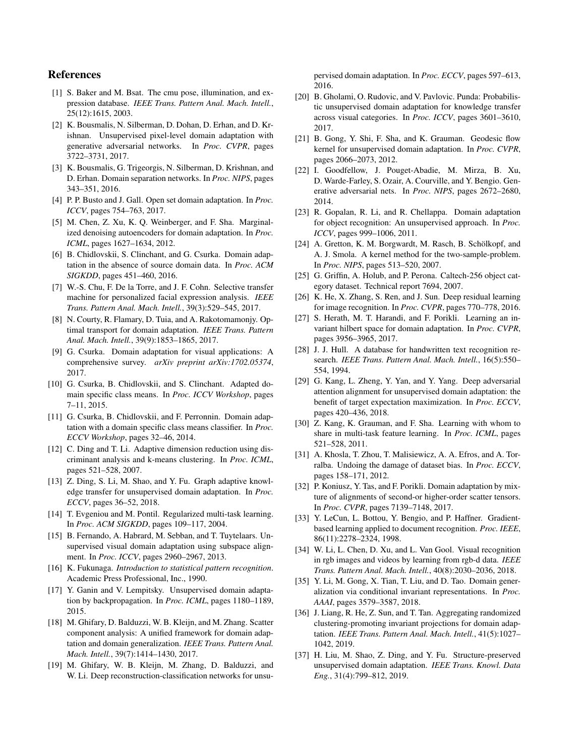### References

- <span id="page-8-17"></span>[1] S. Baker and M. Bsat. The cmu pose, illumination, and expression database. *IEEE Trans. Pattern Anal. Mach. Intell.*, 25(12):1615, 2003.
- <span id="page-8-8"></span>[2] K. Bousmalis, N. Silberman, D. Dohan, D. Erhan, and D. Krishnan. Unsupervised pixel-level domain adaptation with generative adversarial networks. In *Proc. CVPR*, pages 3722–3731, 2017.
- <span id="page-8-10"></span>[3] K. Bousmalis, G. Trigeorgis, N. Silberman, D. Krishnan, and D. Erhan. Domain separation networks. In *Proc. NIPS*, pages 343–351, 2016.
- <span id="page-8-26"></span>[4] P. P. Busto and J. Gall. Open set domain adaptation. In *Proc. ICCV*, pages 754–763, 2017.
- <span id="page-8-21"></span>[5] M. Chen, Z. Xu, K. Q. Weinberger, and F. Sha. Marginalized denoising autoencoders for domain adaptation. In *Proc. ICML*, pages 1627–1634, 2012.
- <span id="page-8-15"></span>[6] B. Chidlovskii, S. Clinchant, and G. Csurka. Domain adaptation in the absence of source domain data. In *Proc. ACM SIGKDD*, pages 451–460, 2016.
- <span id="page-8-5"></span>[7] W.-S. Chu, F. De la Torre, and J. F. Cohn. Selective transfer machine for personalized facial expression analysis. *IEEE Trans. Pattern Anal. Mach. Intell.*, 39(3):529–545, 2017.
- <span id="page-8-0"></span>[8] N. Courty, R. Flamary, D. Tuia, and A. Rakotomamonjy. Optimal transport for domain adaptation. *IEEE Trans. Pattern Anal. Mach. Intell.*, 39(9):1853–1865, 2017.
- <span id="page-8-18"></span>[9] G. Csurka. Domain adaptation for visual applications: A comprehensive survey. *arXiv preprint arXiv:1702.05374*, 2017.
- <span id="page-8-20"></span>[10] G. Csurka, B. Chidlovskii, and S. Clinchant. Adapted domain specific class means. In *Proc. ICCV Workshop*, pages 7–11, 2015.
- <span id="page-8-19"></span>[11] G. Csurka, B. Chidlovskii, and F. Perronnin. Domain adaptation with a domain specific class means classifier. In *Proc. ECCV Workshop*, pages 32–46, 2014.
- <span id="page-8-14"></span>[12] C. Ding and T. Li. Adaptive dimension reduction using discriminant analysis and k-means clustering. In *Proc. ICML*, pages 521–528, 2007.
- <span id="page-8-28"></span>[13] Z. Ding, S. Li, M. Shao, and Y. Fu. Graph adaptive knowledge transfer for unsupervised domain adaptation. In *Proc. ECCV*, pages 36–52, 2018.
- <span id="page-8-3"></span>[14] T. Evgeniou and M. Pontil. Regularized multi-task learning. In *Proc. ACM SIGKDD*, pages 109–117, 2004.
- <span id="page-8-12"></span>[15] B. Fernando, A. Habrard, M. Sebban, and T. Tuytelaars. Unsupervised visual domain adaptation using subspace alignment. In *Proc. ICCV*, pages 2960–2967, 2013.
- <span id="page-8-23"></span>[16] K. Fukunaga. *Introduction to statistical pattern recognition*. Academic Press Professional, Inc., 1990.
- <span id="page-8-7"></span>[17] Y. Ganin and V. Lempitsky. Unsupervised domain adaptation by backpropagation. In *Proc. ICML*, pages 1180–1189, 2015.
- <span id="page-8-36"></span>[18] M. Ghifary, D. Balduzzi, W. B. Kleijn, and M. Zhang. Scatter component analysis: A unified framework for domain adaptation and domain generalization. *IEEE Trans. Pattern Anal. Mach. Intell.*, 39(7):1414–1430, 2017.
- <span id="page-8-9"></span>[19] M. Ghifary, W. B. Kleijn, M. Zhang, D. Balduzzi, and W. Li. Deep reconstruction-classification networks for unsu-

pervised domain adaptation. In *Proc. ECCV*, pages 597–613, 2016.

- <span id="page-8-27"></span>[20] B. Gholami, O. Rudovic, and V. Pavlovic. Punda: Probabilistic unsupervised domain adaptation for knowledge transfer across visual categories. In *Proc. ICCV*, pages 3601–3610, 2017.
- <span id="page-8-16"></span>[21] B. Gong, Y. Shi, F. Sha, and K. Grauman. Geodesic flow kernel for unsupervised domain adaptation. In *Proc. CVPR*, pages 2066–2073, 2012.
- <span id="page-8-22"></span>[22] I. Goodfellow, J. Pouget-Abadie, M. Mirza, B. Xu, D. Warde-Farley, S. Ozair, A. Courville, and Y. Bengio. Generative adversarial nets. In *Proc. NIPS*, pages 2672–2680, 2014.
- <span id="page-8-11"></span>[23] R. Gopalan, R. Li, and R. Chellappa. Domain adaptation for object recognition: An unsupervised approach. In *Proc. ICCV*, pages 999–1006, 2011.
- <span id="page-8-6"></span>[24] A. Gretton, K. M. Borgwardt, M. Rasch, B. Schölkopf, and A. J. Smola. A kernel method for the two-sample-problem. In *Proc. NIPS*, pages 513–520, 2007.
- <span id="page-8-24"></span>[25] G. Griffin, A. Holub, and P. Perona. Caltech-256 object category dataset. Technical report 7694, 2007.
- <span id="page-8-29"></span>[26] K. He, X. Zhang, S. Ren, and J. Sun. Deep residual learning for image recognition. In *Proc. CVPR*, pages 770–778, 2016.
- <span id="page-8-25"></span>[27] S. Herath, M. T. Harandi, and F. Porikli. Learning an invariant hilbert space for domain adaptation. In *Proc. CVPR*, pages 3956–3965, 2017.
- <span id="page-8-33"></span>[28] J. J. Hull. A database for handwritten text recognition research. *IEEE Trans. Pattern Anal. Mach. Intell.*, 16(5):550– 554, 1994.
- <span id="page-8-31"></span>[29] G. Kang, L. Zheng, Y. Yan, and Y. Yang. Deep adversarial attention alignment for unsupervised domain adaptation: the benefit of target expectation maximization. In *Proc. ECCV*, pages 420–436, 2018.
- <span id="page-8-4"></span>[30] Z. Kang, K. Grauman, and F. Sha. Learning with whom to share in multi-task feature learning. In *Proc. ICML*, pages 521–528, 2011.
- <span id="page-8-35"></span>[31] A. Khosla, T. Zhou, T. Malisiewicz, A. A. Efros, and A. Torralba. Undoing the damage of dataset bias. In *Proc. ECCV*, pages 158–171, 2012.
- <span id="page-8-13"></span>[32] P. Koniusz, Y. Tas, and F. Porikli. Domain adaptation by mixture of alignments of second-or higher-order scatter tensors. In *Proc. CVPR*, pages 7139–7148, 2017.
- <span id="page-8-32"></span>[33] Y. LeCun, L. Bottou, Y. Bengio, and P. Haffner. Gradientbased learning applied to document recognition. *Proc. IEEE*, 86(11):2278–2324, 1998.
- <span id="page-8-1"></span>[34] W. Li, L. Chen, D. Xu, and L. Van Gool. Visual recognition in rgb images and videos by learning from rgb-d data. *IEEE Trans. Pattern Anal. Mach. Intell.*, 40(8):2030–2036, 2018.
- <span id="page-8-30"></span>[35] Y. Li, M. Gong, X. Tian, T. Liu, and D. Tao. Domain generalization via conditional invariant representations. In *Proc. AAAI*, pages 3579–3587, 2018.
- <span id="page-8-2"></span>[36] J. Liang, R. He, Z. Sun, and T. Tan. Aggregating randomized clustering-promoting invariant projections for domain adaptation. *IEEE Trans. Pattern Anal. Mach. Intell.*, 41(5):1027– 1042, 2019.
- <span id="page-8-34"></span>[37] H. Liu, M. Shao, Z. Ding, and Y. Fu. Structure-preserved unsupervised domain adaptation. *IEEE Trans. Knowl. Data Eng.*, 31(4):799–812, 2019.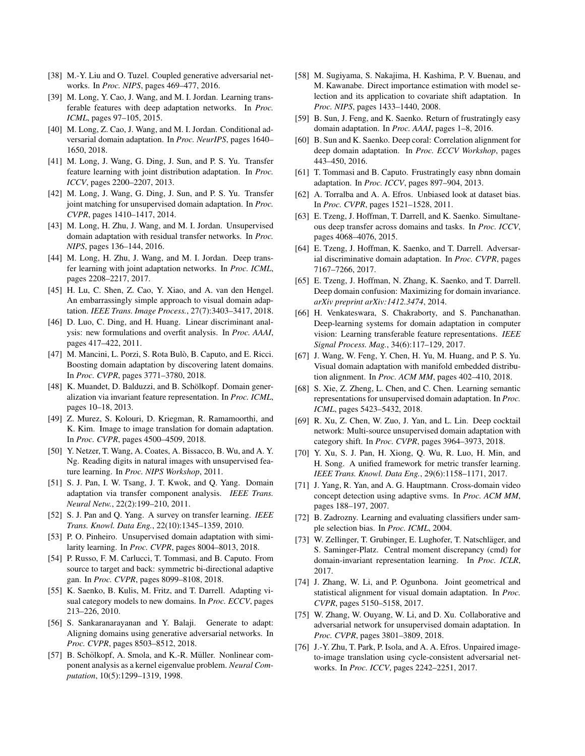- <span id="page-9-13"></span>[38] M.-Y. Liu and O. Tuzel. Coupled generative adversarial networks. In *Proc. NIPS*, pages 469–477, 2016.
- <span id="page-9-9"></span>[39] M. Long, Y. Cao, J. Wang, and M. I. Jordan. Learning transferable features with deep adaptation networks. In *Proc. ICML*, pages 97–105, 2015.
- <span id="page-9-30"></span>[40] M. Long, Z. Cao, J. Wang, and M. I. Jordan. Conditional adversarial domain adaptation. In *Proc. NeurIPS*, pages 1640– 1650, 2018.
- <span id="page-9-16"></span>[41] M. Long, J. Wang, G. Ding, J. Sun, and P. S. Yu. Transfer feature learning with joint distribution adaptation. In *Proc. ICCV*, pages 2200–2207, 2013.
- <span id="page-9-7"></span>[42] M. Long, J. Wang, G. Ding, J. Sun, and P. S. Yu. Transfer joint matching for unsupervised domain adaptation. In *Proc. CVPR*, pages 1410–1417, 2014.
- <span id="page-9-29"></span>[43] M. Long, H. Zhu, J. Wang, and M. I. Jordan. Unsupervised domain adaptation with residual transfer networks. In *Proc. NIPS*, pages 136–144, 2016.
- <span id="page-9-10"></span>[44] M. Long, H. Zhu, J. Wang, and M. I. Jordan. Deep transfer learning with joint adaptation networks. In *Proc. ICML*, pages 2208–2217, 2017.
- <span id="page-9-28"></span>[45] H. Lu, C. Shen, Z. Cao, Y. Xiao, and A. van den Hengel. An embarrassingly simple approach to visual domain adaptation. *IEEE Trans. Image Process.*, 27(7):3403–3417, 2018.
- <span id="page-9-27"></span>[46] D. Luo, C. Ding, and H. Huang. Linear discriminant analysis: new formulations and overfit analysis. In *Proc. AAAI*, pages 417–422, 2011.
- <span id="page-9-37"></span>[47] M. Mancini, L. Porzi, S. Rota Bulò, B. Caputo, and E. Ricci. Boosting domain adaptation by discovering latent domains. In *Proc. CVPR*, pages 3771–3780, 2018.
- <span id="page-9-36"></span>[48] K. Muandet, D. Balduzzi, and B. Schölkopf. Domain generalization via invariant feature representation. In *Proc. ICML*, pages 10–18, 2013.
- <span id="page-9-31"></span>[49] Z. Murez, S. Kolouri, D. Kriegman, R. Ramamoorthi, and K. Kim. Image to image translation for domain adaptation. In *Proc. CVPR*, pages 4500–4509, 2018.
- <span id="page-9-34"></span>[50] Y. Netzer, T. Wang, A. Coates, A. Bissacco, B. Wu, and A. Y. Ng. Reading digits in natural images with unsupervised feature learning. In *Proc. NIPS Workshop*, 2011.
- <span id="page-9-21"></span>[51] S. J. Pan, I. W. Tsang, J. T. Kwok, and Q. Yang. Domain adaptation via transfer component analysis. *IEEE Trans. Neural Netw.*, 22(2):199–210, 2011.
- <span id="page-9-0"></span>[52] S. J. Pan and Q. Yang. A survey on transfer learning. *IEEE Trans. Knowl. Data Eng.*, 22(10):1345–1359, 2010.
- <span id="page-9-22"></span>[53] P. O. Pinheiro. Unsupervised domain adaptation with similarity learning. In *Proc. CVPR*, pages 8004–8013, 2018.
- <span id="page-9-33"></span>[54] P. Russo, F. M. Carlucci, T. Tommasi, and B. Caputo. From source to target and back: symmetric bi-directional adaptive gan. In *Proc. CVPR*, pages 8099–8108, 2018.
- <span id="page-9-19"></span>[55] K. Saenko, B. Kulis, M. Fritz, and T. Darrell. Adapting visual category models to new domains. In *Proc. ECCV*, pages 213–226, 2010.
- <span id="page-9-25"></span>[56] S. Sankaranarayanan and Y. Balaji. Generate to adapt: Aligning domains using generative adversarial networks. In *Proc. CVPR*, pages 8503–8512, 2018.
- <span id="page-9-35"></span>[57] B. Schölkopf, A. Smola, and K.-R. Müller. Nonlinear component analysis as a kernel eigenvalue problem. *Neural Computation*, 10(5):1299–1319, 1998.
- <span id="page-9-6"></span>[58] M. Sugiyama, S. Nakajima, H. Kashima, P. V. Buenau, and M. Kawanabe. Direct importance estimation with model selection and its application to covariate shift adaptation. In *Proc. NIPS*, pages 1433–1440, 2008.
- <span id="page-9-15"></span>[59] B. Sun, J. Feng, and K. Saenko. Return of frustratingly easy domain adaptation. In *Proc. AAAI*, pages 1–8, 2016.
- <span id="page-9-8"></span>[60] B. Sun and K. Saenko. Deep coral: Correlation alignment for deep domain adaptation. In *Proc. ECCV Workshop*, pages 443–450, 2016.
- <span id="page-9-23"></span>[61] T. Tommasi and B. Caputo. Frustratingly easy nbnn domain adaptation. In *Proc. ICCV*, pages 897–904, 2013.
- <span id="page-9-20"></span>[62] A. Torralba and A. A. Efros. Unbiased look at dataset bias. In *Proc. CVPR*, pages 1521–1528, 2011.
- <span id="page-9-3"></span>[63] E. Tzeng, J. Hoffman, T. Darrell, and K. Saenko. Simultaneous deep transfer across domains and tasks. In *Proc. ICCV*, pages 4068–4076, 2015.
- <span id="page-9-2"></span>[64] E. Tzeng, J. Hoffman, K. Saenko, and T. Darrell. Adversarial discriminative domain adaptation. In *Proc. CVPR*, pages 7167–7266, 2017.
- <span id="page-9-24"></span>[65] E. Tzeng, J. Hoffman, N. Zhang, K. Saenko, and T. Darrell. Deep domain confusion: Maximizing for domain invariance. *arXiv preprint arXiv:1412.3474*, 2014.
- <span id="page-9-1"></span>[66] H. Venkateswara, S. Chakraborty, and S. Panchanathan. Deep-learning systems for domain adaptation in computer vision: Learning transferable feature representations. *IEEE Signal Process. Mag.*, 34(6):117–129, 2017.
- <span id="page-9-18"></span>[67] J. Wang, W. Feng, Y. Chen, H. Yu, M. Huang, and P. S. Yu. Visual domain adaptation with manifold embedded distribution alignment. In *Proc. ACM MM*, pages 402–410, 2018.
- <span id="page-9-12"></span>[68] S. Xie, Z. Zheng, L. Chen, and C. Chen. Learning semantic representations for unsupervised domain adaptation. In *Proc. ICML*, pages 5423–5432, 2018.
- <span id="page-9-38"></span>[69] R. Xu, Z. Chen, W. Zuo, J. Yan, and L. Lin. Deep cocktail network: Multi-source unsupervised domain adaptation with category shift. In *Proc. CVPR*, pages 3964–3973, 2018.
- <span id="page-9-4"></span>[70] Y. Xu, S. J. Pan, H. Xiong, Q. Wu, R. Luo, H. Min, and H. Song. A unified framework for metric transfer learning. *IEEE Trans. Knowl. Data Eng.*, 29(6):1158–1171, 2017.
- <span id="page-9-26"></span>[71] J. Yang, R. Yan, and A. G. Hauptmann. Cross-domain video concept detection using adaptive svms. In *Proc. ACM MM*, pages 188–197, 2007.
- <span id="page-9-5"></span>[72] B. Zadrozny. Learning and evaluating classifiers under sample selection bias. In *Proc. ICML*, 2004.
- <span id="page-9-11"></span>[73] W. Zellinger, T. Grubinger, E. Lughofer, T. Natschläger, and S. Saminger-Platz. Central moment discrepancy (cmd) for domain-invariant representation learning. In *Proc. ICLR*, 2017.
- <span id="page-9-17"></span>[74] J. Zhang, W. Li, and P. Ogunbona. Joint geometrical and statistical alignment for visual domain adaptation. In *Proc. CVPR*, pages 5150–5158, 2017.
- <span id="page-9-32"></span>[75] W. Zhang, W. Ouyang, W. Li, and D. Xu. Collaborative and adversarial network for unsupervised domain adaptation. In *Proc. CVPR*, pages 3801–3809, 2018.
- <span id="page-9-14"></span>[76] J.-Y. Zhu, T. Park, P. Isola, and A. A. Efros. Unpaired imageto-image translation using cycle-consistent adversarial networks. In *Proc. ICCV*, pages 2242–2251, 2017.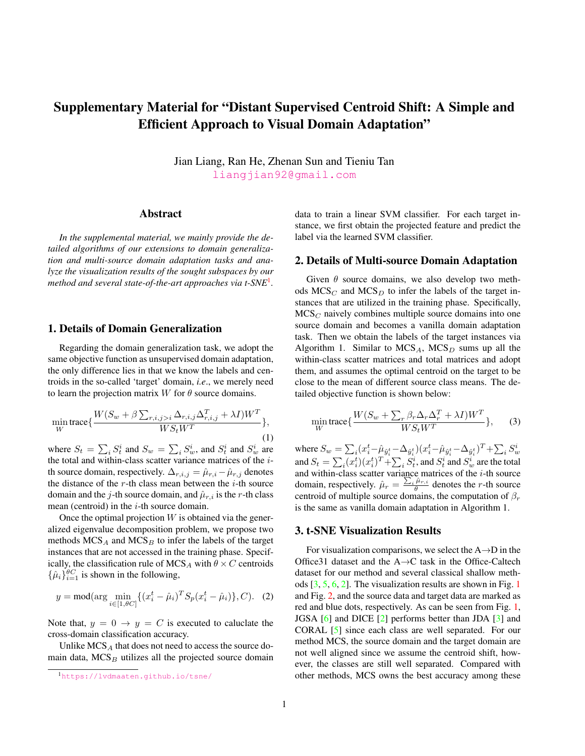# Supplementary Material for "Distant Supervised Centroid Shift: A Simple and Efficient Approach to Visual Domain Adaptation"

Jian Liang, Ran He, Zhenan Sun and Tieniu Tan [liangjian92@gmail.com](mailto:liangjian92@gmail.com)

### Abstract

*In the supplemental material, we mainly provide the detailed algorithms of our extensions to domain generalization and multi-source domain adaptation tasks and analyze the visualization results of the sought subspaces by our method and several state-of-the-art approaches via t-SNE*[1](#page-10-0) *.*

### 1. Details of Domain Generalization

Regarding the domain generalization task, we adopt the same objective function as unsupervised domain adaptation, the only difference lies in that we know the labels and centroids in the so-called 'target' domain, *i.e*., we merely need to learn the projection matrix W for  $\theta$  source domains.

$$
\min_{W} \text{trace}\{\frac{W(S_w + \beta \sum_{r,i,j>i} \Delta_{r,i,j} \Delta_{r,i,j}^T + \lambda I)W^T}{WS_t W^T}\},\tag{1}
$$

where  $S_t = \sum_i S_t^i$  and  $S_w = \sum_i S_w^i$ , and  $S_t^i$  and  $S_w^i$  are the total and within-class scatter variance matrices of the ith source domain, respectively.  $\Delta_{r,i,j} = \hat{\mu}_{r,i} - \hat{\mu}_{r,j}$  denotes the distance of the  $r$ -th class mean between the  $i$ -th source domain and the j-th source domain, and  $\hat{\mu}_{r,i}$  is the r-th class mean (centroid) in the  $i$ -th source domain.

Once the optimal projection  $W$  is obtained via the generalized eigenvalue decomposition problem, we propose two methods  $MCS_A$  and  $MCS_B$  to infer the labels of the target instances that are not accessed in the training phase. Specifically, the classification rule of MCS<sub>A</sub> with  $\theta \times C$  centroids  $\{\hat{\mu}_i\}_{i=1}^{\theta C}$  is shown in the following,

$$
y = \text{mod}(\arg\min_{i \in [1, \theta C]} \{ (x_i^t - \hat{\mu}_i)^T S_p (x_i^t - \hat{\mu}_i) \}, C). \tag{2}
$$

Note that,  $y = 0 \rightarrow y = C$  is executed to caluclate the cross-domain classification accuracy.

Unlike  $MCS_A$  that does not need to access the source domain data,  $MCS<sub>B</sub>$  utilizes all the projected source domain data to train a linear SVM classifier. For each target instance, we first obtain the projected feature and predict the label via the learned SVM classifier.

#### 2. Details of Multi-source Domain Adaptation

Given  $\theta$  source domains, we also develop two methods  $MCS_C$  and  $MCS_D$  to infer the labels of the target instances that are utilized in the training phase. Specifically,  $MCS<sub>C</sub>$  naively combines multiple source domains into one source domain and becomes a vanilla domain adaptation task. Then we obtain the labels of the target instances via Algorithm 1. Similar to  $MCS_A$ ,  $MCS_D$  sums up all the within-class scatter matrices and total matrices and adopt them, and assumes the optimal centroid on the target to be close to the mean of different source class means. The detailed objective function is shown below:

$$
\min_{W} \text{trace}\left\{\frac{W(S_w + \sum_{r} \beta_r \Delta_r \Delta_r^T + \lambda I)W^T}{WS_t W^T}\right\},\qquad(3)
$$

where  $S_w=\sum_i(x_i^t-\hat{\mu}_{\hat{y}_i^t}-\Delta_{\hat{y}_i^t})(x_i^t-\hat{\mu}_{\hat{y}_i^t}-\Delta_{\hat{y}_i^t})^T+\sum_iS_w^i$ and  $S_t = \sum_i (x_i^t) (x_i^t)^T + \sum_i S_t^i$ , and  $S_t^i$  and  $S_w^i$  are the total and within-class scatter variance matrices of the  $i$ -th source domain, respectively.  $\hat{\mu}_r = \frac{\sum_i \hat{\mu}_{r,i}}{\theta}$  denotes the *r*-th source centroid of multiple source domains, the computation of  $\beta_r$ is the same as vanilla domain adaptation in Algorithm 1.

### 3. t-SNE Visualization Results

For visualization comparisons, we select the  $A \rightarrow D$  in the Office31 dataset and the A→C task in the Office-Caltech dataset for our method and several classical shallow methods [\[3,](#page-12-0) [5,](#page-12-1) [6,](#page-12-2) [2\]](#page-12-3). The visualization results are shown in Fig. [1](#page-11-0) and Fig. [2,](#page-11-1) and the source data and target data are marked as red and blue dots, respectively. As can be seen from Fig. [1,](#page-11-0) JGSA [\[6\]](#page-12-2) and DICE [\[2\]](#page-12-3) performs better than JDA [\[3\]](#page-12-0) and CORAL [\[5\]](#page-12-1) since each class are well separated. For our method MCS, the source domain and the target domain are not well aligned since we assume the centroid shift, however, the classes are still well separated. Compared with other methods, MCS owns the best accuracy among these

<span id="page-10-0"></span><sup>1</sup><https://lvdmaaten.github.io/tsne/>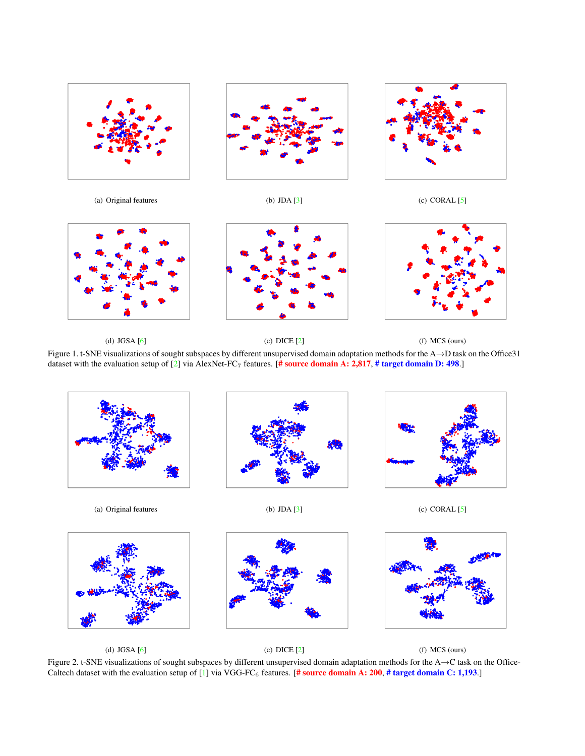

(a) Original features (b) JDA [\[3\]](#page-12-0) (c) CORAL [\[5\]](#page-12-1)







<span id="page-11-0"></span>(d)  $JGSA [6]$  $JGSA [6]$  (e)  $DICE [2]$  $DICE [2]$  (f)  $MCS$  (ours)

Figure 1. t-SNE visualizations of sought subspaces by different unsupervised domain adaptation methods for the A→D task on the Office31 dataset with the evaluation setup of  $[2]$  via AlexNet-FC<sub>7</sub> features. [# source domain A: 2,817, # target domain D: 498.]



<span id="page-11-1"></span>(d) JGSA [\[6\]](#page-12-2) (e) DICE [\[2\]](#page-12-3) (f) MCS (ours) Figure 2. t-SNE visualizations of sought subspaces by different unsupervised domain adaptation methods for the A→C task on the Office-Caltech dataset with the evaluation setup of [\[1\]](#page-12-4) via VGG-FC<sub>6</sub> features. [# source domain A: 200, # target domain C: 1,193.]